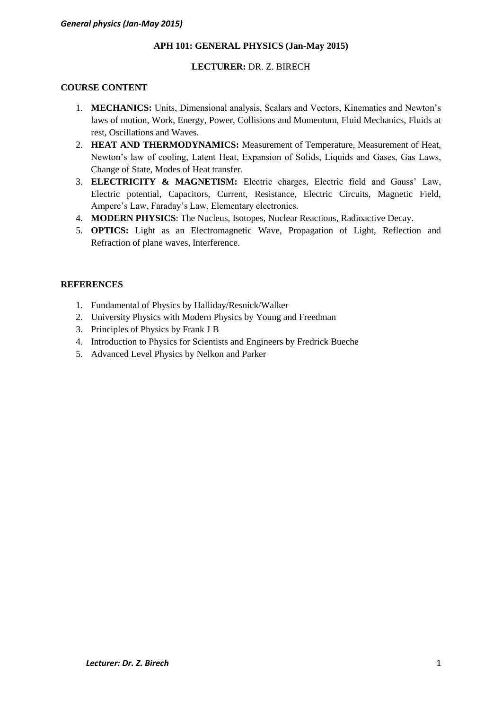### **APH 101: GENERAL PHYSICS (Jan-May 2015)**

### **LECTURER:** DR. Z. BIRECH

### **COURSE CONTENT**

- 1. **MECHANICS:** Units, Dimensional analysis, Scalars and Vectors, Kinematics and Newton's laws of motion, Work, Energy, Power, Collisions and Momentum, Fluid Mechanics, Fluids at rest, Oscillations and Waves.
- 2. **HEAT AND THERMODYNAMICS:** Measurement of Temperature, Measurement of Heat, Newton's law of cooling, Latent Heat, Expansion of Solids, Liquids and Gases, Gas Laws, Change of State, Modes of Heat transfer.
- 3. **ELECTRICITY & MAGNETISM:** Electric charges, Electric field and Gauss' Law, Electric potential, Capacitors, Current, Resistance, Electric Circuits, Magnetic Field, Ampere's Law, Faraday's Law, Elementary electronics.
- 4. **MODERN PHYSICS**: The Nucleus, Isotopes, Nuclear Reactions, Radioactive Decay.
- 5. **OPTICS:** Light as an Electromagnetic Wave, Propagation of Light, Reflection and Refraction of plane waves, Interference.

### **REFERENCES**

- 1. Fundamental of Physics by Halliday/Resnick/Walker
- 2. University Physics with Modern Physics by Young and Freedman
- 3. Principles of Physics by Frank J B
- 4. Introduction to Physics for Scientists and Engineers by Fredrick Bueche
- 5. Advanced Level Physics by Nelkon and Parker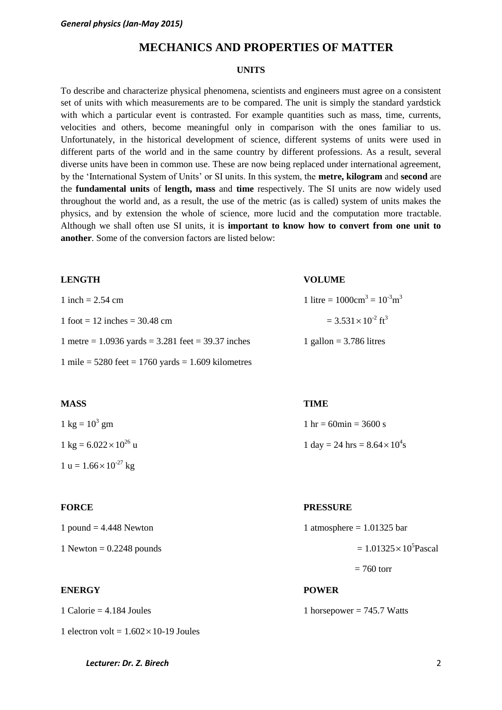# **MECHANICS AND PROPERTIES OF MATTER**

### **UNITS**

To describe and characterize physical phenomena, scientists and engineers must agree on a consistent set of units with which measurements are to be compared. The unit is simply the standard yardstick with which a particular event is contrasted. For example quantities such as mass, time, currents, velocities and others, become meaningful only in comparison with the ones familiar to us. Unfortunately, in the historical development of science, different systems of units were used in different parts of the world and in the same country by different professions. As a result, several diverse units have been in common use. These are now being replaced under international agreement, by the 'International System of Units' or SI units. In this system, the **metre, kilogram** and **second** are the **fundamental units** of **length, mass** and **time** respectively. The SI units are now widely used throughout the world and, as a result, the use of the metric (as is called) system of units makes the physics, and by extension the whole of science, more lucid and the computation more tractable. Although we shall often use SI units, it is **important to know how to convert from one unit to another**. Some of the conversion factors are listed below:

| <b>LENGTH</b>                                            | <b>VOLUME</b>                                     |
|----------------------------------------------------------|---------------------------------------------------|
| 1 inch = $2.54$ cm                                       | 1 litre = $1000 \text{cm}^3 = 10^{-3} \text{m}^3$ |
| $1$ foot = 12 inches = 30.48 cm                          | $= 3.531 \times 10^{-2}$ ft <sup>3</sup>          |
| 1 metre = $1.0936$ yards = $3.281$ feet = $39.37$ inches | 1 gallon = $3.786$ litres                         |
| 1 mile = $5280$ feet = $1760$ yards = 1.609 kilometres   |                                                   |

### **MASS TIME**

| $1 \text{ kg} = 10^3 \text{ gm}$                | 1 hr = 60 $\text{min}$ = 3600 s       |
|-------------------------------------------------|---------------------------------------|
| $1 \text{ kg} = 6.022 \times 10^{26} \text{ u}$ | 1 day = 24 hrs = $8.64 \times 10^4$ s |
| $1 u = 1.66 \times 10^{-27} kg$                 |                                       |

| 1 pound = $4.448$ Newton |  |
|--------------------------|--|
|--------------------------|--|

### **ENERGY POWER**

1 Calorie = 4.184 Joules 1 horsepower = 745.7 Watts

#### **FORCE PRESSURE**

| 1 pound $= 4.448$ Newton   | 1 atmosphere = $1.01325$ bar     |
|----------------------------|----------------------------------|
| 1 Newton $= 0.2248$ pounds | $= 1.01325 \times 10^{5}$ Pascal |

### $= 760$  torr

*Lecturer: Dr. Z. Birech* 2

1 electron volt =  $1.602 \times 10$ -19 Joules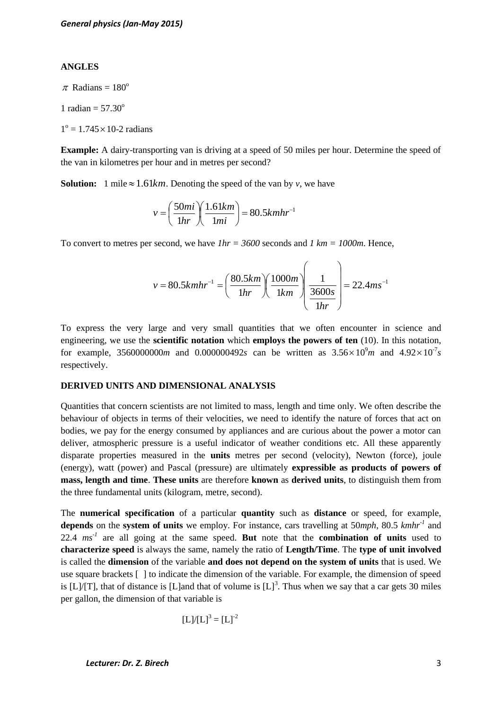#### **ANGLES**

 $\pi$  Radians = 180<sup>o</sup>

1 radian  $= 57.30^\circ$ 

 $1^{\circ} = 1.745 \times 10^{-2}$  radians

**Example:** A dairy-transporting van is driving at a speed of 50 miles per hour. Determine the speed of the van in kilometres per hour and in metres per second?

**Solution:** 1 mile  $\approx 1.61km$ . Denoting the speed of the van by *v*, we have

$$
v = \left(\frac{50mi}{1hr}\right)\left(\frac{1.61km}{1mi}\right) = 80.5kmhr^{-1}
$$

To convert to metres per second, we have *1hr = 3600* seconds and *1 km = 1000m*. Hence,

$$
v = 80.5k mhr^{-1} = \left(\frac{80.5km}{1hr}\right) \left(\frac{1000m}{1km}\right) \left(\frac{1}{\frac{3600s}{1hr}}\right) = 22.4 m s^{-1}
$$

To express the very large and very small quantities that we often encounter in science and engineering, we use the **scientific notation** which **employs the powers of ten** (10). In this notation, for example, 3560000000*m* and 0.000000492*s* can be written as  $3.56 \times 10^9 m$  and  $4.92 \times 10^{-7} s$ respectively.

#### **DERIVED UNITS AND DIMENSIONAL ANALYSIS**

Quantities that concern scientists are not limited to mass, length and time only. We often describe the behaviour of objects in terms of their velocities, we need to identify the nature of forces that act on bodies, we pay for the energy consumed by appliances and are curious about the power a motor can deliver, atmospheric pressure is a useful indicator of weather conditions etc. All these apparently disparate properties measured in the **units** metres per second (velocity), Newton (force), joule (energy), watt (power) and Pascal (pressure) are ultimately **expressible as products of powers of mass, length and time**. **These units** are therefore **known** as **derived units**, to distinguish them from the three fundamental units (kilogram, metre, second).

The **numerical specification** of a particular **quantity** such as **distance** or speed, for example, **depends** on the **system of units** we employ. For instance, cars travelling at 50*mph*, 80.5 *kmhr-1* and 22.4  $ms^{-1}$  are all going at the same speed. But note that the **combination of units** used to **characterize speed** is always the same, namely the ratio of **Length/Time**. The **type of unit involved** is called the **dimension** of the variable **and does not depend on the system of units** that is used. We use square brackets [ ] to indicate the dimension of the variable. For example, the dimension of speed is  $[L]/[T]$ , that of distance is [L]and that of volume is  $[L]^3$ . Thus when we say that a car gets 30 miles per gallon, the dimension of that variable is

$$
[L]/[L]^3 = [L]^{-2}
$$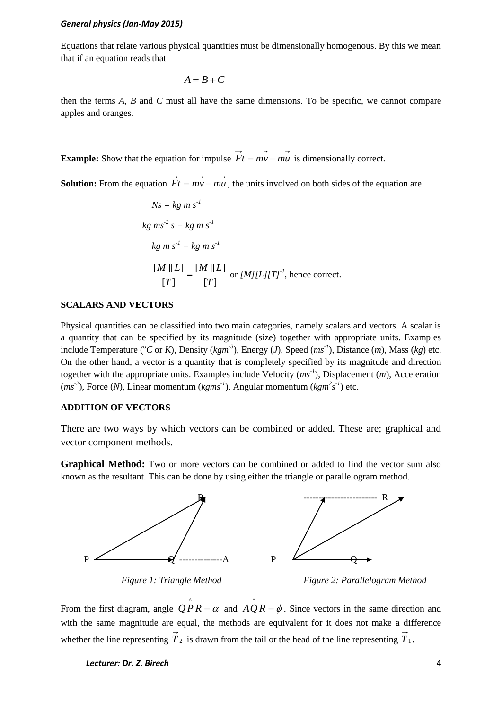Equations that relate various physical quantities must be dimensionally homogenous. By this we mean that if an equation reads that

$$
A=B+C
$$

then the terms *A, B* and *C* must all have the same dimensions. To be specific, we cannot compare apples and oranges.

**Example:** Show that the equation for impulse  $Ft = mv - mu$  is dimensionally correct.

**Solution:** From the equation  $Ft = mv - mu$ , the units involved on both sides of the equation are

$$
Ns = kg \, m \, s^{-1}
$$
\n
$$
kg \, m s^{-2} \, s = kg \, m \, s^{-1}
$$
\n
$$
kg \, m \, s^{-1} = kg \, m \, s^{-1}
$$
\n
$$
\frac{[M][L]}{[T]} = \frac{[M][L]}{[T]} \text{ or } [M][L][T]^{-1}, \text{ hence correct.}
$$

#### **SCALARS AND VECTORS**

Physical quantities can be classified into two main categories, namely scalars and vectors. A scalar is a quantity that can be specified by its magnitude (size) together with appropriate units. Examples include Temperature ( ${}^oC$  or *K*), Density (*kgm*<sup>-3</sup>), Energy (*J*), Speed ( $ms^{-1}$ ), Distance (*m*), Mass (*kg*) etc. On the other hand, a vector is a quantity that is completely specified by its magnitude and direction together with the appropriate units. Examples include Velocity  $(ms^{-1})$ , Displacement  $(m)$ , Acceleration  $(ms<sup>-2</sup>)$ , Force (*N*), Linear momentum (*kgms<sup>-1</sup>*), Angular momentum (*kgm<sup>2</sup>s<sup>-1</sup>)* etc.

### **ADDITION OF VECTORS**

There are two ways by which vectors can be combined or added. These are; graphical and vector component methods.

**Graphical Method:** Two or more vectors can be combined or added to find the vector sum also known as the resultant. This can be done by using either the triangle or parallelogram method.



*Figure 1: Triangle Method Figure 2: Parallelogram Method*

From the first diagram, angle  $\hat{QP}R = \alpha$  and  $\hat{AQ}R = \phi$ . Since vectors in the same direction and with the same magnitude are equal, the methods are equivalent for it does not make a difference whether the line representing  $T_2$  is drawn from the tail or the head of the line representing  $T_1$ .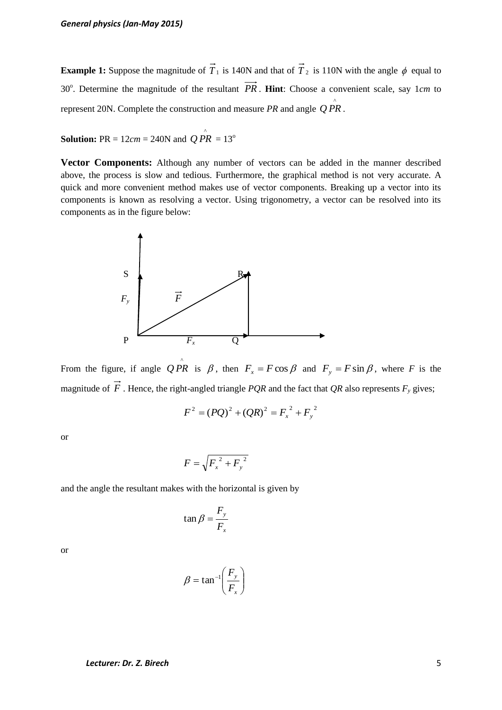**Example 1:** Suppose the magnitude of  $T_1$  is 140N and that of  $T_2$  is 110N with the angle  $\phi$  equal to 30°. Determine the magnitude of the resultant PR. Hint: Choose a convenient scale, say 1cm to represent 20N. Complete the construction and measure *PR* and angle  $Q \overrightarrow{PR}$ .

**Solution:** PR =  $12cm = 240N$  and  $\overrightarrow{QPR} = 13^{\circ}$ 

**Vector Components:** Although any number of vectors can be added in the manner described above, the process is slow and tedious. Furthermore, the graphical method is not very accurate. A quick and more convenient method makes use of vector components. Breaking up a vector into its components is known as resolving a vector. Using trigonometry, a vector can be resolved into its components as in the figure below:



From the figure, if angle  $QPR$  is  $\beta$ , then  $F_x = F\cos\beta$  and  $F_y = F\sin\beta$ , where *F* is the magnitude of *F* . Hence, the right-angled triangle *PQR* and the fact that *QR* also represents *F<sup>y</sup>* gives;

$$
F^{2} = (PQ)^{2} + (QR)^{2} = F_{x}^{2} + F_{y}^{2}
$$

or

$$
F = \sqrt{F_x^2 + F_y^2}
$$

and the angle the resultant makes with the horizontal is given by

$$
\tan \beta = \frac{F_y}{F_x}
$$

or

$$
\beta = \tan^{-1}\left(\frac{F_y}{F_x}\right)
$$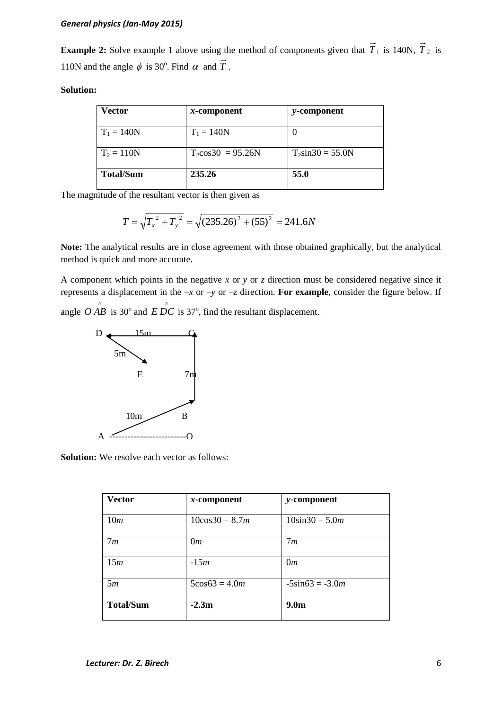**Example 2:** Solve example 1 above using the method of components given that  $T_1$  is 140N,  $T_2$  is 110N and the angle  $\phi$  is 30°. Find  $\alpha$  and T.

### **Solution:**

| Vector           | $x$ -component              | <i>y</i> -component  |
|------------------|-----------------------------|----------------------|
| $T_1 = 140N$     | $T_1 = 140N$                | O                    |
| $T_2 = 110N$     | $T_2\cos 30^\circ = 95.26N$ | $T_2\sin 30 = 55.0N$ |
| <b>Total/Sum</b> | 235.26                      | 55.0                 |

The magnitude of the resultant vector is then given as

$$
T = \sqrt{T_x^2 + T_y^2} = \sqrt{(235.26)^2 + (55)^2} = 241.6N
$$

**Note:** The analytical results are in close agreement with those obtained graphically, but the analytical method is quick and more accurate.

A component which points in the negative *x* or *y* or *z* direction must be considered negative since it represents a displacement in the *–x* or *–y* or *–z* direction. **For example**, consider the figure below. If angle  $\overrightarrow{O}$  *AB* is 30<sup>o</sup> and  $\overrightarrow{EDC}$  is 37<sup>o</sup>, find the resultant displacement.



**Solution:** We resolve each vector as follows:

| <b>Vector</b>    | $x$ -component     | y-component         |
|------------------|--------------------|---------------------|
| 10m              | $10\cos 30 = 8.7m$ | $10\sin 30 = 5.0m$  |
| 7m               | 0m                 | 7m                  |
| 15m              | $-15m$             | 0m                  |
| 5m               | $5\cos 63 = 4.0m$  | $-5\sin 63 = -3.0m$ |
| <b>Total/Sum</b> | $-2.3m$            | 9.0 <sub>m</sub>    |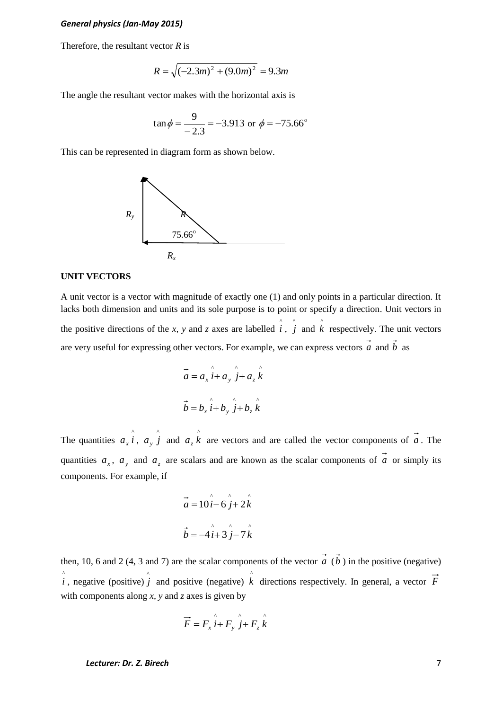Therefore, the resultant vector *R* is

$$
R = \sqrt{(-2.3m)^2 + (9.0m)^2} = 9.3m
$$

The angle the resultant vector makes with the horizontal axis is

$$
\tan \phi = \frac{9}{-2.3} = -3.913 \text{ or } \phi = -75.66^{\circ}
$$

This can be represented in diagram form as shown below.



#### **UNIT VECTORS**

A unit vector is a vector with magnitude of exactly one (1) and only points in a particular direction. It lacks both dimension and units and its sole purpose is to point or specify a direction. Unit vectors in the positive directions of the *x*, *y* and *z* axes are labelled  $\hat{i}$ ,  $\hat{j}$  and  $\hat{k}$  respectively. The unit vectors are very useful for expressing other vectors. For example, we can express vectors a and b as

$$
\vec{a} = a_x \hat{i} + a_y \hat{j} + a_z \hat{k}
$$
  

$$
\vec{b} = b_x \hat{i} + b_y \hat{j} + b_z \hat{k}
$$

The quantities  $a_x \hat{i}$ ,  $a_y \hat{j}$  and  $a_z \hat{k}$  are vectors and are called the vector components of  $\vec{a}$ . The quantities  $a_x$ ,  $a_y$  and  $a_z$  are scalars and are known as the scalar components of a or simply its components. For example, if

$$
\vec{a} = 10\hat{i} - 6\hat{j} + 2\hat{k}
$$

$$
\vec{b} = -4\hat{i} + 3\hat{j} - 7\hat{k}
$$

then, 10, 6 and 2 (4, 3 and 7) are the scalar components of the vector  $a$  ( $b$ ) in the positive (negative)  $\hat{i}$ , negative (positive)  $\hat{j}$  and positive (negative)  $\hat{k}$  directions respectively. In general, a vector  $\vec{F}$ with components along *x, y* and *z* axes is given by

$$
\overrightarrow{F} = F_x \hat{i} + F_y \hat{j} + F_z \hat{k}
$$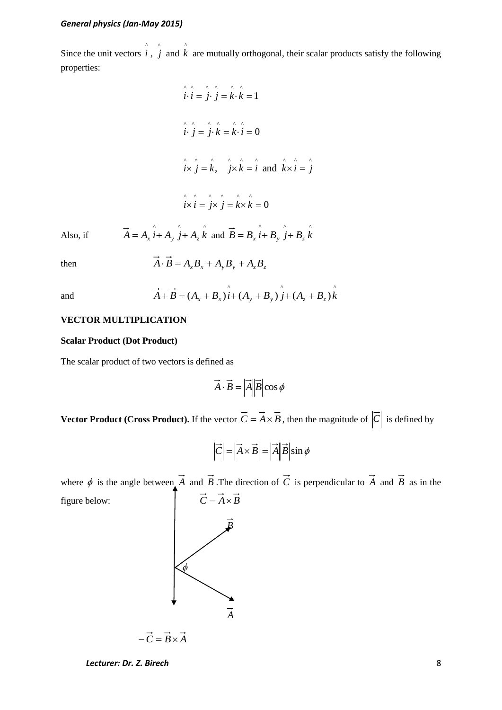Since the unit vectors  $\hat{i}$ ,  $\hat{j}$  and  $\hat{k}$  are mutually orthogonal, their scalar products satisfy the following properties:

$$
\hat{i} \cdot \hat{i} = \hat{j} \cdot \hat{j} = \hat{k} \cdot \hat{k} = 1
$$
  

$$
\hat{i} \cdot \hat{j} = \hat{j} \cdot \hat{k} = \hat{k} \cdot \hat{i} = 0
$$
  

$$
\hat{i} \times \hat{j} = \hat{k}, \quad \hat{j} \times \hat{k} = \hat{i} \text{ and } \hat{k} \times \hat{i} = \hat{j}
$$
  

$$
\hat{i} \times \hat{i} = \hat{j} \times \hat{j} = \hat{k} \times \hat{k} = 0
$$

Also, if  $\vec{A} = A_x \hat{i} + A_y \hat{j} + A_z \hat{k}$  and  $\vec{B} = B_x \hat{i} + B_y \hat{j} + B_z \hat{k}$ 

then

$$
\vec{A} \cdot \vec{B} = A_x B_x + A_y B_y + A_z B_z
$$

and

$$
\vec{A} + \vec{B} = (A_x + B_x)\hat{i} + (A_y + B_y)\hat{j} + (A_z + B_z)\hat{k}
$$

### **VECTOR MULTIPLICATION**

#### **Scalar Product (Dot Product)**

The scalar product of two vectors is defined as

$$
\vec{A} \cdot \vec{B} = |\vec{A}| |\vec{B}| \cos \phi
$$

**Vector Product (Cross Product).** If the vector  $C = A \times B$ , then the magnitude of  $|C|$  is defined by

$$
\left|\overrightarrow{C}\right| = \left|\overrightarrow{A} \times \overrightarrow{B}\right| = \left|\overrightarrow{A}\right| \left|\overrightarrow{B}\right| \sin \phi
$$

where  $\phi$  is the angle between A and B. The direction of C is perpendicular to A and B as in the figure below:  $\vec{C} = \vec{A} \times \vec{B}$ 



*Lecturer: Dr. Z. Birech* 8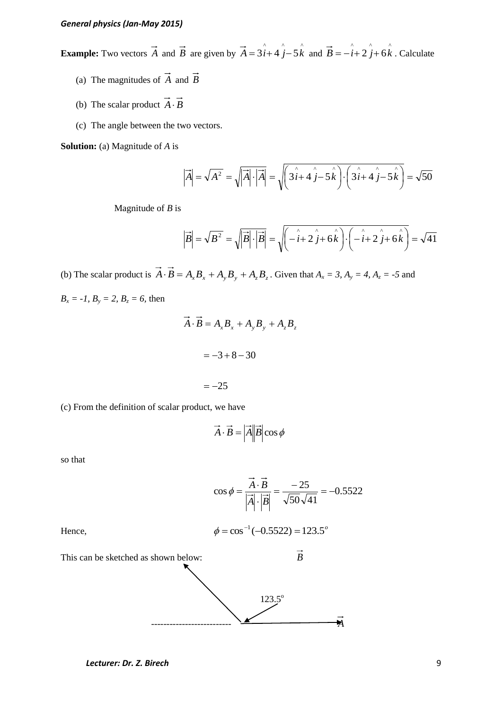**Example:** Two vectors  $\vec{A}$  and  $\vec{B}$  are given by  $\vec{A} = 3\hat{i} + 4\hat{j} - 5\hat{k}$  and  $\vec{B} = -\hat{i} + 2\hat{j} + 6\hat{k}$ . Calculate

- (a) The magnitudes of *A* and *B*
- (b) The scalar product  $A \cdot B$
- (c) The angle between the two vectors.

**Solution:** (a) Magnitude of *A* is

$$
\left|\vec{A}\right| = \sqrt{A^2} = \sqrt{\left|\vec{A}\right| \cdot \left|\vec{A}\right|} = \sqrt{\left(3\hat{i} + 4\hat{j} - 5\hat{k}\right) \cdot \left(3\hat{i} + 4\hat{j} - 5\hat{k}\right)} = \sqrt{50}
$$

Magnitude of *B* is

$$
\left|\vec{B}\right| = \sqrt{B^2} = \sqrt{\left|\vec{B}\right| \cdot \left|\vec{B}\right|} = \sqrt{\left(\hat{i} + 2\hat{j} + 6\hat{k}\right) \cdot \left(\hat{i} + 2\hat{j} + 6\hat{k}\right)} = \sqrt{41}
$$

(b) The scalar product is  $A \cdot B = A_x B_x + A_y B_y + A_z B_z$ . Given that  $A_x = 3$ ,  $A_y = 4$ ,  $A_z = -5$  and  $B_x = -1$ ,  $B_y = 2$ ,  $B_z = 6$ , then

$$
\vec{A} \cdot \vec{B} = A_x B_x + A_y B_y + A_z B_z
$$

$$
= -3 + 8 - 30
$$

$$
= -25
$$

(c) From the definition of scalar product, we have

$$
\vec{A} \cdot \vec{B} = |\vec{A}| |\vec{B}| \cos \phi
$$

so that

$$
\cos \phi = \frac{\vec{A} \cdot \vec{B}}{|\vec{A}| \cdot |\vec{B}|} = \frac{-25}{\sqrt{50}\sqrt{41}} = -0.5522
$$
  
Hence,  

$$
\phi = \cos^{-1}(-0.5522) = 123.5^{\circ}
$$
This can be sketched as shown below:  

$$
\vec{B}
$$
  
123.5°

-------------------------- *A*

Hence,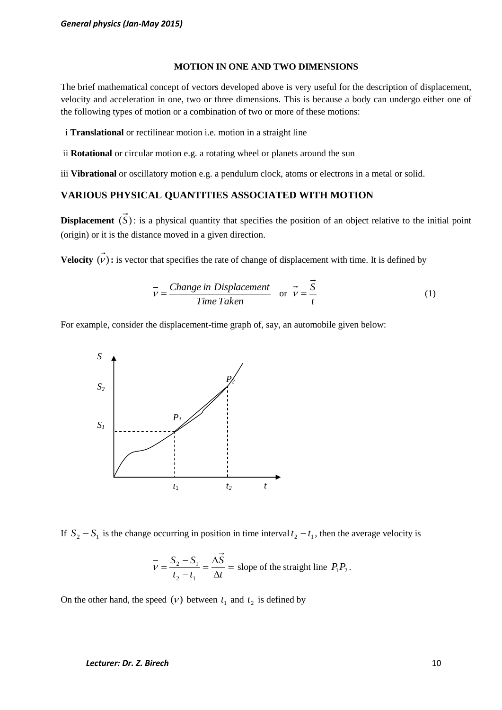#### **MOTION IN ONE AND TWO DIMENSIONS**

The brief mathematical concept of vectors developed above is very useful for the description of displacement, velocity and acceleration in one, two or three dimensions. This is because a body can undergo either one of the following types of motion or a combination of two or more of these motions:

i **Translational** or rectilinear motion i.e. motion in a straight line

ii **Rotational** or circular motion e.g. a rotating wheel or planets around the sun

iii **Vibrational** or oscillatory motion e.g. a pendulum clock, atoms or electrons in a metal or solid.

### **VARIOUS PHYSICAL QUANTITIES ASSOCIATED WITH MOTION**

**Displacement**  $(S)$ : is a physical quantity that specifies the position of an object relative to the initial point (origin) or it is the distance moved in a given direction.

**Velocity**  $(v)$ : is vector that specifies the rate of change of displacement with time. It is defined by

$$
\overline{v} = \frac{Change \text{ in Displacement}}{Time \text{ Taken}} \quad \text{or} \quad \overline{v} = \frac{S}{t}
$$
 (1)

For example, consider the displacement-time graph of, say, an automobile given below:



If  $S_2 - S_1$  is the change occurring in position in time interval  $t_2 - t_1$ , then the average velocity is

$$
\overline{v} = \frac{S_2 - S_1}{t_2 - t_1} = \frac{\Delta S}{\Delta t} = \text{slope of the straight line } P_1 P_2.
$$

On the other hand, the speed  $(V)$  between  $t_1$  and  $t_2$  is defined by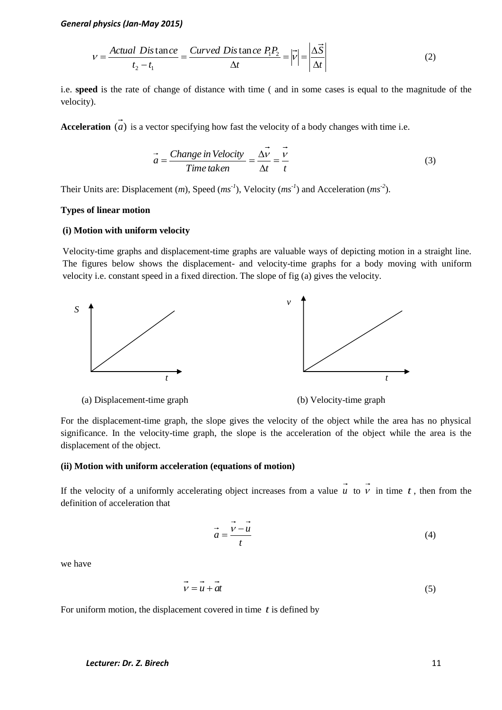$$
V = \frac{Actual\;Distance}{t_2 - t_1} = \frac{Curved\;Distance\;P_1P_2}{\Delta t} = |\vec{V}| = |\frac{\Delta \vec{S}}{\Delta t}| \tag{2}
$$

i.e. **speed** is the rate of change of distance with time ( and in some cases is equal to the magnitude of the velocity).

Acceleration (*a*) is a vector specifying how fast the velocity of a body changes with time i.e.

$$
\vec{a} = \frac{Change\ in\ Velocity}{Time\ taken} = \frac{\Delta V}{\Delta t} = \frac{V}{t}
$$
\n(3)

Their Units are: Displacement  $(m)$ , Speed  $(ms^{-1})$ , Velocity  $(ms^{-1})$  and Acceleration  $(ms^{-2})$ .

### **Types of linear motion**

#### **(i) Motion with uniform velocity**

Velocity-time graphs and displacement-time graphs are valuable ways of depicting motion in a straight line. The figures below shows the displacement- and velocity-time graphs for a body moving with uniform velocity i.e. constant speed in a fixed direction. The slope of fig (a) gives the velocity.



(a) Displacement-time graph (b) Velocity-time graph

For the displacement-time graph, the slope gives the velocity of the object while the area has no physical significance. In the velocity-time graph, the slope is the acceleration of the object while the area is the displacement of the object.

### **(ii) Motion with uniform acceleration (equations of motion)**

If the velocity of a uniformly accelerating object increases from a value  $\vec{u}$  to  $\vec{v}$  in time  $t$ , then from the definition of acceleration that

$$
\vec{a} = \frac{\vec{v} - \vec{u}}{t}
$$
 (4)

we have

$$
\vec{v} = \vec{u} + \vec{a}\vec{t} \tag{5}
$$

For uniform motion, the displacement covered in time  $t$  is defined by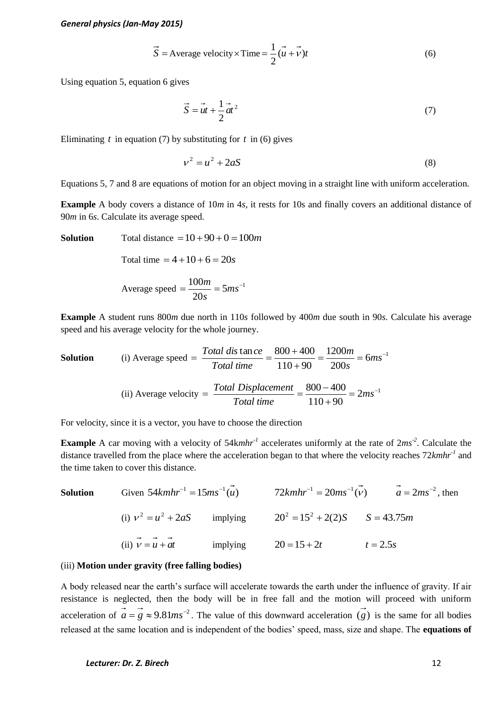$$
\vec{S} = \text{Average velocity} \times \text{Time} = \frac{1}{2} (\vec{u} + \vec{v})t \tag{6}
$$

Using equation 5, equation 6 gives

$$
\vec{S} = \vec{u}t + \frac{1}{2}\vec{a}t^2
$$
 (7)

Eliminating  $t$  in equation (7) by substituting for  $t$  in (6) gives

$$
v^2 = u^2 + 2aS\tag{8}
$$

Equations 5, 7 and 8 are equations of motion for an object moving in a straight line with uniform acceleration.

**Example** A body covers a distance of 10*m* in 4*s*, it rests for 10s and finally covers an additional distance of 90*m* in 6*s*. Calculate its average speed.

**Solution** Total distance  $= 10 + 90 + 0 = 100$ *m* 

Total time  $= 4 + 10 + 6 = 20s$ 

Average speed 
$$
=
$$
  $\frac{100m}{20s} = 5ms^{-1}$ 

**Example** A student runs 800*m* due north in 110*s* followed by 400*m* due south in 90*s*. Calculate his average speed and his average velocity for the whole journey.

**Solution** (i) Average speed = 
$$
\frac{Total \, dis \tan ce}{Total \, time} = \frac{800 + 400}{110 + 90} = \frac{1200m}{200s} = 6ms^{-1}
$$

(ii) Average velocity = 
$$
\frac{Total Displacement}{Total time} = \frac{800 - 400}{110 + 90} = 2ms^{-1}
$$

For velocity, since it is a vector, you have to choose the direction

**Example** A car moving with a velocity of 54kmhr<sup>-1</sup> accelerates uniformly at the rate of  $2ms^{-2}$ . Calculate the distance travelled from the place where the acceleration began to that where the velocity reaches 72*kmhr-1* and the time taken to cover this distance.

**Solution** Given 
$$
54kmhr^{-1} = 15ms^{-1}(\vec{u})
$$
  $72kmhr^{-1} = 20ms^{-1}(\vec{v})$   $\vec{a} = 2ms^{-2}$ , then  
\n(i)  $v^2 = u^2 + 2aS$  implying  $20^2 = 15^2 + 2(2)S$   $S = 43.75m$   
\n(ii)  $\vec{v} = \vec{u} + \vec{a}t$  implying  $20 = 15 + 2t$   $t = 2.5s$ 

### (iii) **Motion under gravity (free falling bodies)**

A body released near the earth's surface will accelerate towards the earth under the influence of gravity. If air resistance is neglected, then the body will be in free fall and the motion will proceed with uniform acceleration of  $\vec{a} = \vec{g} \approx 9.81 \text{m s}^{-2}$ . The value of this downward acceleration  $\vec{g}$  is the same for all bodies released at the same location and is independent of the bodies' speed, mass, size and shape. The **equations of**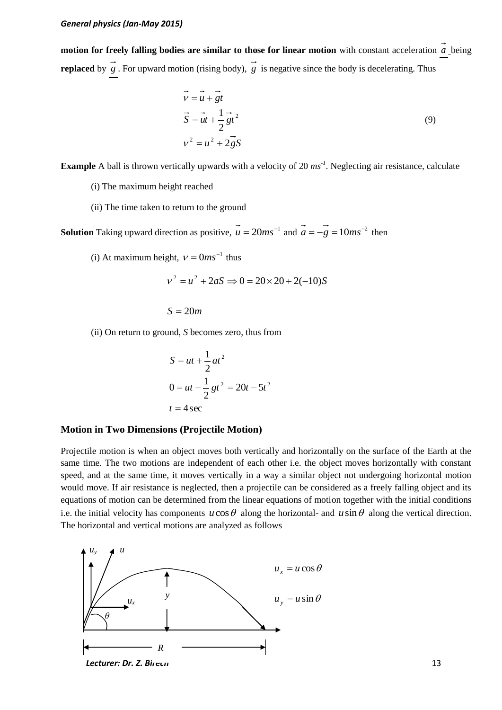**motion for freely falling bodies are similar to those for linear motion** with constant acceleration *a* being **replaced** by  $g$ . For upward motion (rising body),  $g$  is negative since the body is decelerating. Thus

$$
\vec{v} = \vec{u} + \vec{g}t
$$
  

$$
\vec{S} = \vec{u}t + \frac{1}{2}\vec{g}t^2
$$
  

$$
v^2 = u^2 + 2\vec{g}S
$$
 (9)

**Example** A ball is thrown vertically upwards with a velocity of 20  $ms^{-1}$ . Neglecting air resistance, calculate

- (i) The maximum height reached
- (ii) The time taken to return to the ground

**Solution** Taking upward direction as positive,  $\overline{u} = 20ms^{-1}$  and  $\overline{a} = -\overline{g} = 10ms^{-2}$  then

(i) At maximum height,  $v = 0ms^{-1}$  thus

$$
v^2 = u^2 + 2aS \implies 0 = 20 \times 20 + 2(-10)S
$$

 $S = 20m$ 

(ii) On return to ground, *S* becomes zero, thus from

$$
S = ut + \frac{1}{2}at^2
$$
  

$$
0 = ut - \frac{1}{2}gt^2 = 20t - 5t^2
$$
  

$$
t = 4 \sec
$$

### **Motion in Two Dimensions (Projectile Motion)**

Projectile motion is when an object moves both vertically and horizontally on the surface of the Earth at the same time. The two motions are independent of each other i.e. the object moves horizontally with constant speed, and at the same time, it moves vertically in a way a similar object not undergoing horizontal motion would move. If air resistance is neglected, then a projectile can be considered as a freely falling object and its equations of motion can be determined from the linear equations of motion together with the initial conditions i.e. the initial velocity has components  $u \cos \theta$  along the horizontal- and  $u \sin \theta$  along the vertical direction. The horizontal and vertical motions are analyzed as follows

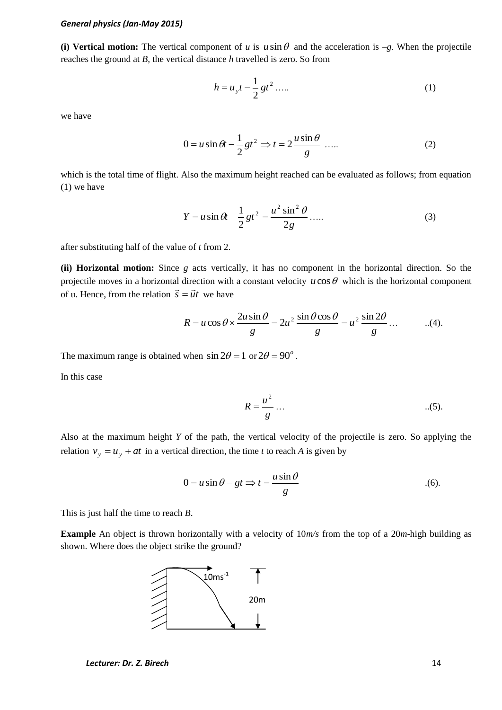(i) **Vertical motion:** The vertical component of *u* is  $u \sin \theta$  and the acceleration is  $-g$ . When the projectile reaches the ground at *B,* the vertical distance *h* travelled is zero. So from

$$
h = u_y t - \frac{1}{2} g t^2 \dots \tag{1}
$$

we have

$$
0 = u \sin \theta t - \frac{1}{2}gt^2 \implies t = 2\frac{u \sin \theta}{g} \dots \tag{2}
$$

which is the total time of flight. Also the maximum height reached can be evaluated as follows; from equation (1) we have

$$
Y = u \sin \theta t - \frac{1}{2}gt^{2} = \frac{u^{2} \sin^{2} \theta}{2g} \dots
$$
 (3)

after substituting half of the value of *t* from 2.

**(ii) Horizontal motion:** Since *g* acts vertically, it has no component in the horizontal direction. So the projectile moves in a horizontal direction with a constant velocity  $u \cos \theta$  which is the horizontal component of u. Hence, from the relation  $\vec{s} = \vec{u}t$  we have

$$
R = u\cos\theta \times \frac{2u\sin\theta}{g} = 2u^2 \frac{\sin\theta\cos\theta}{g} = u^2 \frac{\sin 2\theta}{g} \dots \qquad ...(4).
$$

The maximum range is obtained when  $\sin 2\theta = 1$  or  $2\theta = 90^\circ$ .

In this case

$$
R = \frac{u^2}{g} \dots \tag{5}
$$

Also at the maximum height *Y* of the path, the vertical velocity of the projectile is zero. So applying the relation  $v_y = u_y + at$  in a vertical direction, the time *t* to reach *A* is given by

$$
0 = u \sin \theta - gt \Rightarrow t = \frac{u \sin \theta}{g}
$$
 (6).

This is just half the time to reach *B*.

**Example** An object is thrown horizontally with a velocity of 10*m/s* from the top of a 20*m*-high building as shown. Where does the object strike the ground?

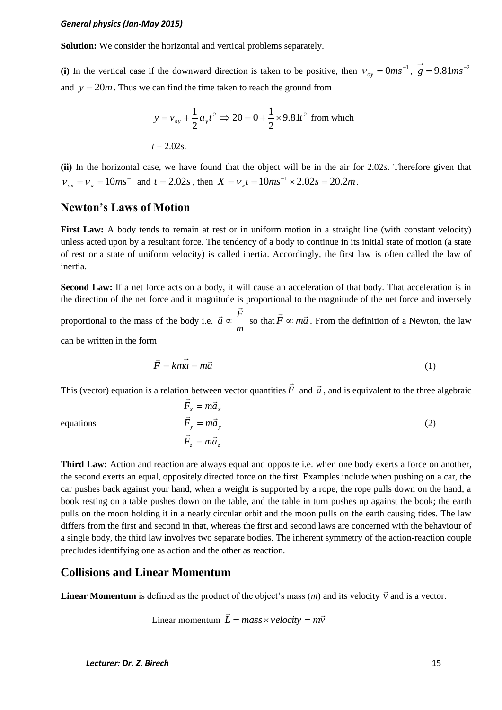**Solution:** We consider the horizontal and vertical problems separately.

(i) In the vertical case if the downward direction is taken to be positive, then  $v_{oy} = 0ms^{-1}$ ,  $g = 9.81ms^{-2}$ and  $y = 20m$ . Thus we can find the time taken to reach the ground from

$$
y = v_{oy} + \frac{1}{2} a_y t^2 \implies 20 = 0 + \frac{1}{2} \times 9.81 t^2
$$
 from which  
 $t = 2.02$ s.

**(ii)** In the horizontal case, we have found that the object will be in the air for 2.02*s*. Therefore given that  $v_{ox} = v_x = 10ms^{-1}$  and  $t = 2.02s$ , then  $X = v_x t = 10ms^{-1} \times 2.02s = 20.2m$ .

### **Newton's Laws of Motion**

**First Law:** A body tends to remain at rest or in uniform motion in a straight line (with constant velocity) unless acted upon by a resultant force. The tendency of a body to continue in its initial state of motion (a state of rest or a state of uniform velocity) is called inertia. Accordingly, the first law is often called the law of inertia.

Second Law: If a net force acts on a body, it will cause an acceleration of that body. That acceleration is in the direction of the net force and it magnitude is proportional to the magnitude of the net force and inversely proportional to the mass of the body i.e. *m*  $\vec{a} \propto \frac{\vec{F}}{A}$  $\ddot{\phantom{0}}$  $\vec{a} \propto \frac{\vec{F}}{}$  so that  $\vec{F} \propto m\vec{a}$  $\propto m\vec{a}$ . From the definition of a Newton, the law can be written in the form

$$
\vec{F} = k\vec{ma} = m\vec{a} \tag{1}
$$

This (vector) equation is a relation between vector quantities *F*  $\rightarrow$ and  $\vec{a}$ , and is equivalent to the three algebraic

 $\vec{F}_z = m\vec{a}_z$  $\vec{F}_y = m\vec{a}_y$  $\vec{F}_x = m\vec{a}_x$  $=$  $=$  $=$ (2)

equations

**Third Law:** Action and reaction are always equal and opposite i.e. when one body exerts a force on another, the second exerts an equal, oppositely directed force on the first. Examples include when pushing on a car, the car pushes back against your hand, when a weight is supported by a rope, the rope pulls down on the hand; a book resting on a table pushes down on the table, and the table in turn pushes up against the book; the earth pulls on the moon holding it in a nearly circular orbit and the moon pulls on the earth causing tides. The law differs from the first and second in that, whereas the first and second laws are concerned with the behaviour of a single body, the third law involves two separate bodies. The inherent symmetry of the action-reaction couple precludes identifying one as action and the other as reaction.

# **Collisions and Linear Momentum**

**Linear Momentum** is defined as the product of the object's mass  $(m)$  and its velocity  $\vec{v}$  and is a vector.

Linear momentum 
$$
\vec{L} = mass \times velocity = m\vec{v}
$$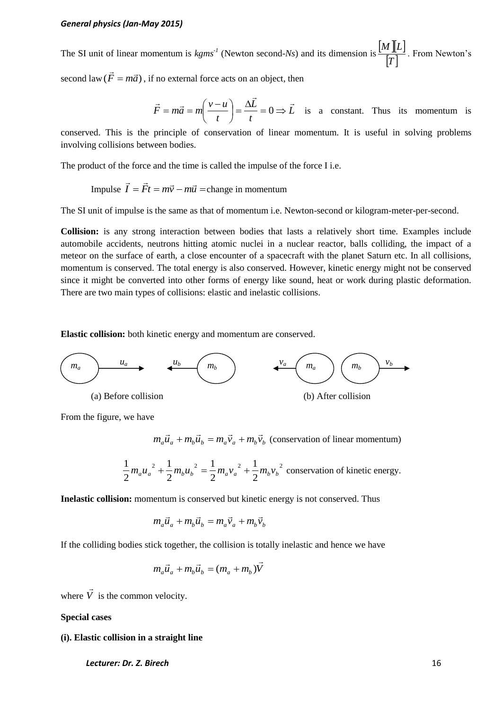The SI unit of linear momentum is  $kgms^{-1}$  (Newton second-*Ns*) and its dimension is  $\frac{M \llbracket L \rrbracket}{L-1}$  $|T|$  $\frac{M \llbracket L \rrbracket}{L-1}$ . From Newton's

second law  $(\vec{F} = m\vec{a})$  $= m\vec{a}$ ), if no external force acts on an object, then

$$
\vec{F} = m\vec{a} = m\left(\frac{v - u}{t}\right) = \frac{\Delta \vec{L}}{t} = 0 \implies \vec{L} \text{ is a constant. Thus its momentum is}
$$

conserved. This is the principle of conservation of linear momentum. It is useful in solving problems involving collisions between bodies.

The product of the force and the time is called the impulse of the force I i.e.

Impulse  $\vec{I} = \vec{F}t = m\vec{v} - m\vec{u}$ change in momentum

The SI unit of impulse is the same as that of momentum i.e. Newton-second or kilogram-meter-per-second.

**Collision:** is any strong interaction between bodies that lasts a relatively short time. Examples include automobile accidents, neutrons hitting atomic nuclei in a nuclear reactor, balls colliding, the impact of a meteor on the surface of earth, a close encounter of a spacecraft with the planet Saturn etc. In all collisions, momentum is conserved. The total energy is also conserved. However, kinetic energy might not be conserved since it might be converted into other forms of energy like sound, heat or work during plastic deformation. There are two main types of collisions: elastic and inelastic collisions.

**Elastic collision:** both kinetic energy and momentum are conserved.



From the figure, we have

 $m_a \vec{u}_a + m_b \vec{u}_b = m_a \vec{v}_a + m_b \vec{v}_b$  (conservation of linear momentum)

$$
\frac{1}{2}m_{a}{u_{a}}^{2} + \frac{1}{2}m_{b}{u_{b}}^{2} = \frac{1}{2}m_{a}{v_{a}}^{2} + \frac{1}{2}m_{b}{v_{b}}^{2}
$$
 conservation of kinetic energy.

**Inelastic collision:** momentum is conserved but kinetic energy is not conserved. Thus

$$
m_a \vec{u}_a + m_b \vec{u}_b = m_a \vec{v}_a + m_b \vec{v}_b
$$

If the colliding bodies stick together, the collision is totally inelastic and hence we have

$$
m_a \vec{u}_a + m_b \vec{u}_b = (m_a + m_b)\vec{V}
$$

where *V*  $\rightarrow$ is the common velocity.

#### **Special cases**

#### **(i). Elastic collision in a straight line**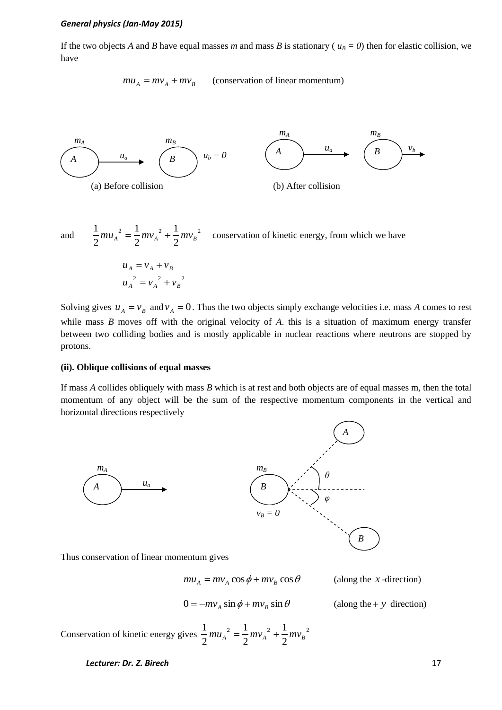If the two objects *A* and *B* have equal masses *m* and mass *B* is stationary ( $u_B = 0$ ) then for elastic collision, we have

> $mu_A = mv_A + mv_B$ (conservation of linear momentum)



and 2  $1 \t m \t 2 \t 1 \t m \t 2$ 2 1 2 1 2  $\frac{1}{2} m {u_A}^2 = \frac{1}{2} m {v_A}^2 + \frac{1}{2} m {v_B}^2$  conservation of kinetic energy, from which we have

$$
u_A = v_A + v_B
$$
  

$$
u_A^2 = v_A^2 + v_B^2
$$

Solving gives  $u_A = v_B$  and  $v_A = 0$ . Thus the two objects simply exchange velocities i.e. mass *A* comes to rest while mass *B* moves off with the original velocity of *A*. this is a situation of maximum energy transfer between two colliding bodies and is mostly applicable in nuclear reactions where neutrons are stopped by protons.

### **(ii). Oblique collisions of equal masses**

If mass *A* collides obliquely with mass *B* which is at rest and both objects are of equal masses m, then the total momentum of any object will be the sum of the respective momentum components in the vertical and horizontal directions respectively



Thus conservation of linear momentum gives

 $mu_A = mv_A \cos \phi + mv_B \cos \theta$ (along the *x* -direction)

$$
0 = -mv_A \sin \phi + mv_B \sin \theta
$$

(along the  $+ y$  direction)

Conservation of kinetic energy gives  $\frac{1}{2}mu_A^2 = \frac{1}{2}mv_A^2 + \frac{1}{2}mv_B^2$ 2 1 2 1 2  $\frac{1}{2} m u_A^2 = \frac{1}{2} m v_A^2 + \frac{1}{2} m v_B^2$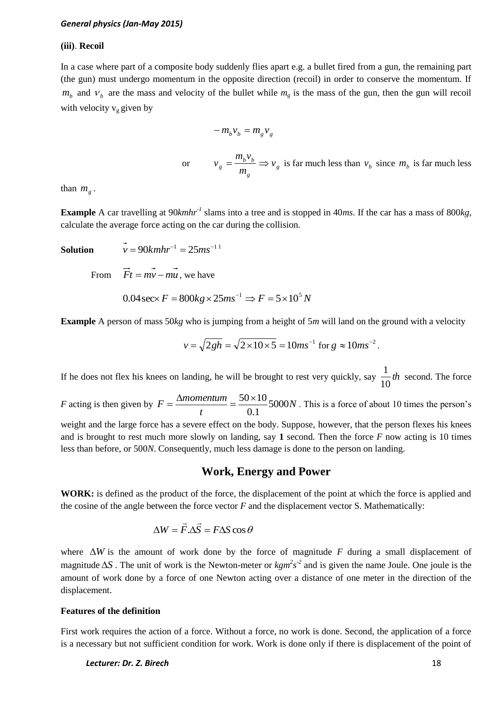#### **(iii)**. **Recoil**

In a case where part of a composite body suddenly flies apart e.g. a bullet fired from a gun, the remaining part (the gun) must undergo momentum in the opposite direction (recoil) in order to conserve the momentum. If  $m_b$  and  $v_b$  are the mass and velocity of the bullet while  $m_g$  is the mass of the gun, then the gun will recoil with velocity  $v_g$  given by

$$
-m_b v_b = m_g v_g
$$

or  $v_g = \frac{m_b r_b}{r} \Rightarrow v_g$ *g*  $b_g = \frac{m_b v_b}{v} \Rightarrow v$ *m*  $v_g = \frac{m_b v_b}{v_g}$  is far much less than  $v_b$  since  $m_b$  is far much less

than  $m<sub>g</sub>$ .

**Example** A car travelling at 90*kmhr-1* slams into a tree and is stopped in 40*ms*. If the car has a mass of 800*kg*, calculate the average force acting on the car during the collision.

**Solution** 

 $v = 90$  $kmhr^{-1} = 25$  $ms^{-1}$ <sup>1</sup>

From  $Ft = mv - mu$ , we have

$$
0.04 \sec \times F = 800 kg \times 25 ms^{-1} \Rightarrow F = 5 \times 10^5 N
$$

**Example** A person of mass 50*kg* who is jumping from a height of 5*m* will land on the ground with a velocity

$$
v = \sqrt{2gh} = \sqrt{2 \times 10 \times 5} = 10ms^{-1}
$$
 for  $g \approx 10ms^{-2}$ .

If he does not flex his knees on landing, he will be brought to rest very quickly, say  $\frac{1}{\sqrt{2}}$ th 10  $\frac{1}{\sqrt{2}}$ th second. The force

*F* acting is then given by  $F = \frac{\Delta m \omega m \epsilon h \mu m}{r} = \frac{30 \times 10^6}{r^2} 5000N$ *t*  $F = \frac{\Delta momentum}{m} = \frac{50 \times 10}{24} 5000$ 0.1  $=\frac{\Delta momentum}{m} = \frac{50 \times 10}{24.5}$  5000*N*. This is a force of about 10 times the person's

weight and the large force has a severe effect on the body. Suppose, however, that the person flexes his knees and is brought to rest much more slowly on landing, say **1** second. Then the force *F* now acting is 10 times less than before, or 500*N*. Consequently, much less damage is done to the person on landing.

## **Work, Energy and Power**

**WORK:** is defined as the product of the force, the displacement of the point at which the force is applied and the cosine of the angle between the force vector *F* and the displacement vector S. Mathematically:

$$
\Delta W = \vec{F} \cdot \Delta \vec{S} = F \Delta S \cos \theta
$$

where  $\Delta W$  is the amount of work done by the force of magnitude  $F$  during a small displacement of magnitude  $\Delta S$ . The unit of work is the Newton-meter or  $kgm^2s^2$  and is given the name Joule. One joule is the amount of work done by a force of one Newton acting over a distance of one meter in the direction of the displacement.

#### **Features of the definition**

First work requires the action of a force. Without a force, no work is done. Second, the application of a force is a necessary but not sufficient condition for work. Work is done only if there is displacement of the point of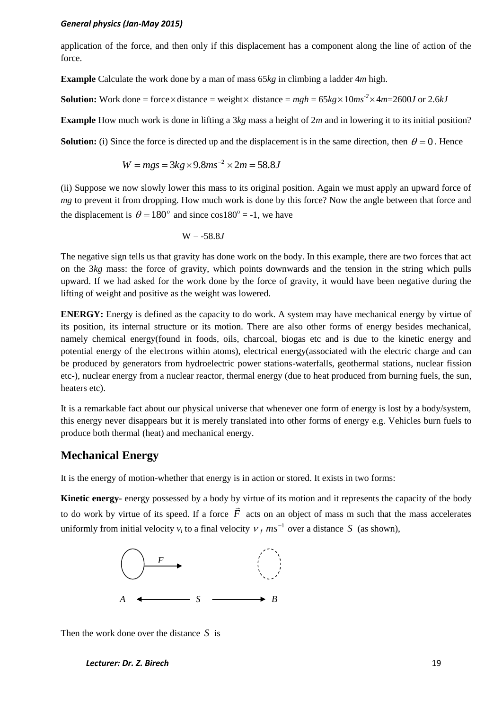application of the force, and then only if this displacement has a component along the line of action of the force.

**Example** Calculate the work done by a man of mass 65*kg* in climbing a ladder 4*m* high.

**Solution:** Work done = force  $\times$  distance = weight  $\times$  distance =  $mgh = 65kg \times 10ms^{-2} \times 4m = 2600J$  or 2.6*kJ* 

**Example** How much work is done in lifting a 3*kg* mass a height of 2*m* and in lowering it to its initial position?

**Solution:** (i) Since the force is directed up and the displacement is in the same direction, then  $\theta = 0$ . Hence

$$
W = mgs = 3kg \times 9.8ms^{-2} \times 2m = 58.8J
$$

(ii) Suppose we now slowly lower this mass to its original position. Again we must apply an upward force of *mg* to prevent it from dropping. How much work is done by this force? Now the angle between that force and the displacement is  $\theta = 180^\circ$  and since  $\cos 180^\circ = -1$ , we have

$$
W = -58.8J
$$

The negative sign tells us that gravity has done work on the body. In this example, there are two forces that act on the 3*kg* mass: the force of gravity, which points downwards and the tension in the string which pulls upward. If we had asked for the work done by the force of gravity, it would have been negative during the lifting of weight and positive as the weight was lowered.

**ENERGY:** Energy is defined as the capacity to do work. A system may have mechanical energy by virtue of its position, its internal structure or its motion. There are also other forms of energy besides mechanical, namely chemical energy(found in foods, oils, charcoal, biogas etc and is due to the kinetic energy and potential energy of the electrons within atoms), electrical energy(associated with the electric charge and can be produced by generators from hydroelectric power stations-waterfalls, geothermal stations, nuclear fission etc-), nuclear energy from a nuclear reactor, thermal energy (due to heat produced from burning fuels, the sun, heaters etc).

It is a remarkable fact about our physical universe that whenever one form of energy is lost by a body/system, this energy never disappears but it is merely translated into other forms of energy e.g. Vehicles burn fuels to produce both thermal (heat) and mechanical energy.

### **Mechanical Energy**

It is the energy of motion-whether that energy is in action or stored. It exists in two forms:

**Kinetic energy-** energy possessed by a body by virtue of its motion and it represents the capacity of the body to do work by virtue of its speed. If a force *F*  $\frac{1}{x}$ acts on an object of mass m such that the mass accelerates uniformly from initial velocity  $v_i$  to a final velocity  $v_f$  ms<sup>-1</sup> over a distance S (as shown),



Then the work done over the distance *S* is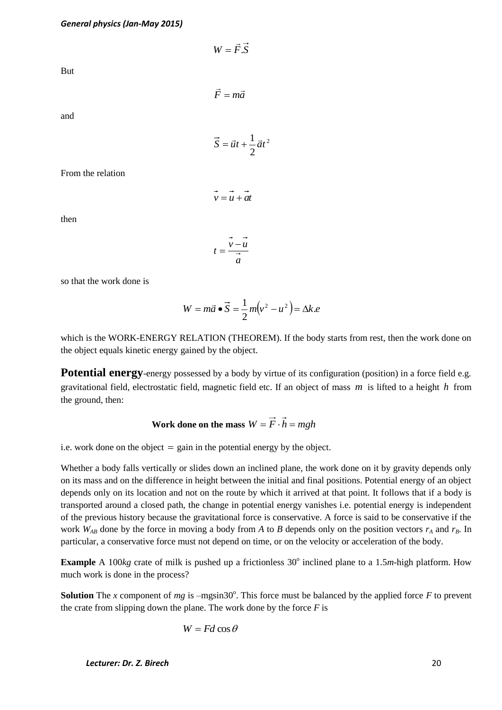$W = F.S$  $\rightarrow$  $=$ 

But

 $\vec{F} = m\vec{a}$  $=$ 

and

2 2  $\vec{S} = \vec{u}t + \frac{1}{2}\vec{a}t$ 

From the relation

then

*a*  $t = \frac{v - u}{\rightarrow}$ 

 $\vec{v} = \vec{u} + \vec{a}t$ 

so that the work done is

$$
W = m\vec{a} \bullet \vec{S} = \frac{1}{2}m(v^2 - u^2) = \Delta k.e
$$

which is the WORK-ENERGY RELATION (THEOREM). If the body starts from rest, then the work done on the object equals kinetic energy gained by the object.

**Potential energy**-energy possessed by a body by virtue of its configuration (position) in a force field e.g. gravitational field, electrostatic field, magnetic field etc. If an object of mass *m* is lifted to a height *h* from the ground, then:

Work done on the mass 
$$
W = \vec{F} \cdot \vec{h} = mgh
$$

i.e. work done on the object  $=$  gain in the potential energy by the object.

Whether a body falls vertically or slides down an inclined plane, the work done on it by gravity depends only on its mass and on the difference in height between the initial and final positions. Potential energy of an object depends only on its location and not on the route by which it arrived at that point. It follows that if a body is transported around a closed path, the change in potential energy vanishes i.e. potential energy is independent of the previous history because the gravitational force is conservative. A force is said to be conservative if the work  $W_{AB}$  done by the force in moving a body from *A* to *B* depends only on the position vectors  $r_A$  and  $r_B$ . In particular, a conservative force must not depend on time, or on the velocity or acceleration of the body.

**Example** A 100 $kg$  crate of milk is pushed up a frictionless  $30^\circ$  inclined plane to a 1.5*m*-high platform. How much work is done in the process?

**Solution** The *x* component of *mg* is  $-mgsin30^\circ$ . This force must be balanced by the applied force *F* to prevent the crate from slipping down the plane. The work done by the force  $F$  is

$$
W = Fd\cos\theta
$$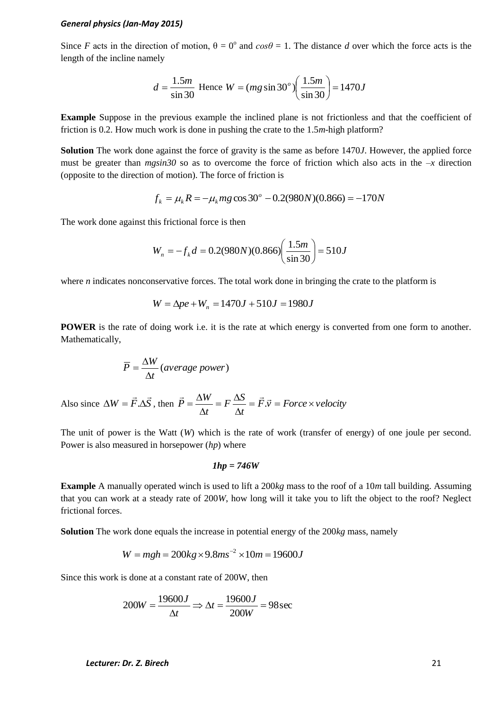Since *F* acts in the direction of motion,  $\theta = 0^{\circ}$  and  $cos\theta = 1$ . The distance *d* over which the force acts is the length of the incline namely

$$
d = \frac{1.5m}{\sin 30}
$$
 Hence  $W = (mg \sin 30^\circ) \left(\frac{1.5m}{\sin 30}\right) = 1470J$ 

**Example** Suppose in the previous example the inclined plane is not frictionless and that the coefficient of friction is 0.2. How much work is done in pushing the crate to the 1.5*m*-high platform?

**Solution** The work done against the force of gravity is the same as before 1470*J*. However, the applied force must be greater than  $mgsin30$  so as to overcome the force of friction which also acts in the  $-x$  direction (opposite to the direction of motion). The force of friction is

$$
f_k = \mu_k R = -\mu_k mg \cos 30^\circ - 0.2(980N)(0.866) = -170N
$$

The work done against this frictional force is then

$$
W_n = -f_k d = 0.2(980N)(0.866) \left(\frac{1.5m}{\sin 30}\right) = 510J
$$

where *n* indicates nonconservative forces. The total work done in bringing the crate to the platform is

$$
W = \Delta pe + W_n = 1470J + 510J = 1980J
$$

**POWER** is the rate of doing work i.e. it is the rate at which energy is converted from one form to another. Mathematically,

$$
\overline{P} = \frac{\Delta W}{\Delta t} (average power)
$$

Also since  $\Delta W = \vec{F} \cdot \Delta S$  $\rightarrow$   $\rightarrow$  $\Delta W = \vec{F} \cdot \Delta \vec{S}$ , then  $\vec{P} = \frac{\Delta W}{\Delta t} = \vec{F} \cdot \vec{v} = \vec{F} \cdot \vec{v} = \vec{F} \cdot \vec{v} = \vec{F} \cdot \vec{v} = \vec{F} \cdot \vec{v} = \vec{v}$ *t*  $F \stackrel{\Delta S}{\longrightarrow}$ *t*  $\vec{P} = \frac{\Delta W}{\Delta t} = F \frac{\Delta S}{\Delta t} = \vec{F} \cdot \vec{v} = Force \times$  $\Delta$  $= F \frac{\Delta}{4}$  $\Delta$  $\vec{P} = \frac{\Delta W}{\Delta t} = F \frac{\Delta S}{\Delta t} = \vec{F} \cdot \vec{v}$ .

The unit of power is the Watt (*W*) which is the rate of work (transfer of energy) of one joule per second. Power is also measured in horsepower (*hp*) where

### *1hp = 746W*

**Example** A manually operated winch is used to lift a 200*kg* mass to the roof of a 10*m* tall building. Assuming that you can work at a steady rate of 200*W*, how long will it take you to lift the object to the roof? Neglect frictional forces.

**Solution** The work done equals the increase in potential energy of the 200*kg* mass, namely

$$
W = mgh = 200kg \times 9.8ms^{-2} \times 10m = 19600J
$$

Since this work is done at a constant rate of 200W, then

$$
200W = \frac{19600J}{\Delta t} \Rightarrow \Delta t = \frac{19600J}{200W} = 98 \text{ sec}
$$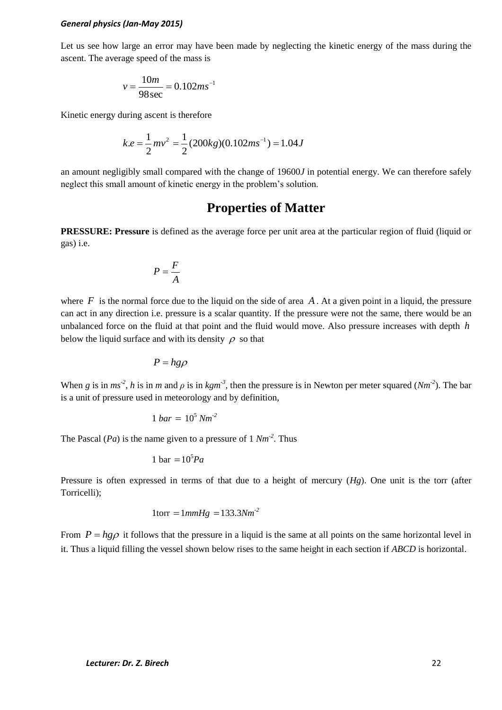Let us see how large an error may have been made by neglecting the kinetic energy of the mass during the ascent. The average speed of the mass is

$$
v = \frac{10m}{98 \sec} = 0.102ms^{-1}
$$

Kinetic energy during ascent is therefore

$$
k.e = \frac{1}{2}mv^2 = \frac{1}{2}(200kg)(0.102ms^{-1}) = 1.04J
$$

an amount negligibly small compared with the change of 19600*J* in potential energy. We can therefore safely neglect this small amount of kinetic energy in the problem's solution.

# **Properties of Matter**

**PRESSURE: Pressure** is defined as the average force per unit area at the particular region of fluid (liquid or gas) i.e.

$$
P = \frac{F}{A}
$$

where  $F$  is the normal force due to the liquid on the side of area  $A$ . At a given point in a liquid, the pressure can act in any direction i.e. pressure is a scalar quantity. If the pressure were not the same, there would be an unbalanced force on the fluid at that point and the fluid would move. Also pressure increases with depth *h* below the liquid surface and with its density  $\rho$  so that

$$
P = h g \rho
$$

When *g* is in  $ms^{-2}$ , *h* is in *m* and  $\rho$  is in *kgm*<sup>-3</sup>, then the pressure is in Newton per meter squared (*Nm*<sup>-2</sup>). The bar is a unit of pressure used in meteorology and by definition,

$$
1 bar = 10^5 Nm^2
$$

The Pascal (*Pa*) is the name given to a pressure of 1 *Nm-2* . Thus

$$
1 \text{ bar} = 10^5 Pa
$$

Pressure is often expressed in terms of that due to a height of mercury (*Hg*). One unit is the torr (after Torricelli);

$$
1 \text{torr} = 1 \text{mmHg} = 133.3 \text{Nm}^2
$$

From  $P = h g \rho$  it follows that the pressure in a liquid is the same at all points on the same horizontal level in it. Thus a liquid filling the vessel shown below rises to the same height in each section if *ABCD* is horizontal.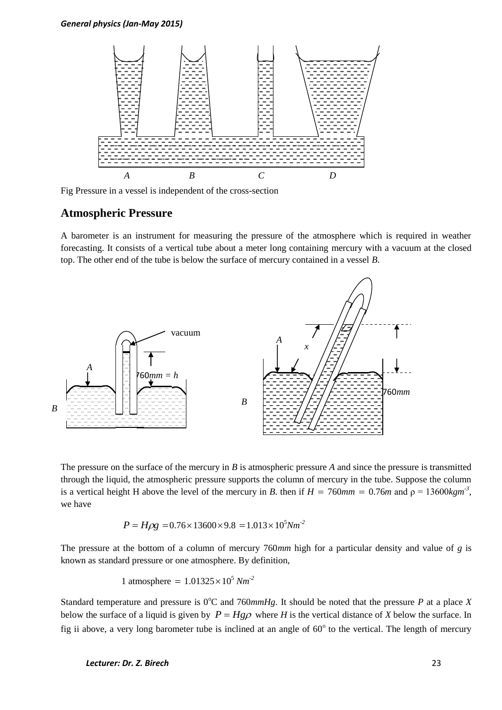

Fig Pressure in a vessel is independent of the cross-section

### **Atmospheric Pressure**

A barometer is an instrument for measuring the pressure of the atmosphere which is required in weather forecasting. It consists of a vertical tube about a meter long containing mercury with a vacuum at the closed top. The other end of the tube is below the surface of mercury contained in a vessel *B*.



The pressure on the surface of the mercury in *B* is atmospheric pressure *A* and since the pressure is transmitted through the liquid, the atmospheric pressure supports the column of mercury in the tube. Suppose the column is a vertical height H above the level of the mercury in *B*. then if  $H = 760$ *mm* = 0.76*m* and  $\rho = 13600$ *kgm*<sup>-3</sup>, we have

$$
P = H\rho g = 0.76 \times 13600 \times 9.8 = 1.013 \times 10^5 Nm^2
$$

The pressure at the bottom of a column of mercury 760*mm* high for a particular density and value of *g* is known as standard pressure or one atmosphere. By definition,

1 atmosphere = 
$$
1.01325 \times 10^5
$$
 Nm<sup>-2</sup>

Standard temperature and pressure is  $0^{\circ}$ C and 760 $mmHg$ . It should be noted that the pressure *P* at a place *X* below the surface of a liquid is given by  $P = Hg\rho$  where *H* is the vertical distance of *X* below the surface. In fig ii above, a very long barometer tube is inclined at an angle of  $60^{\circ}$  to the vertical. The length of mercury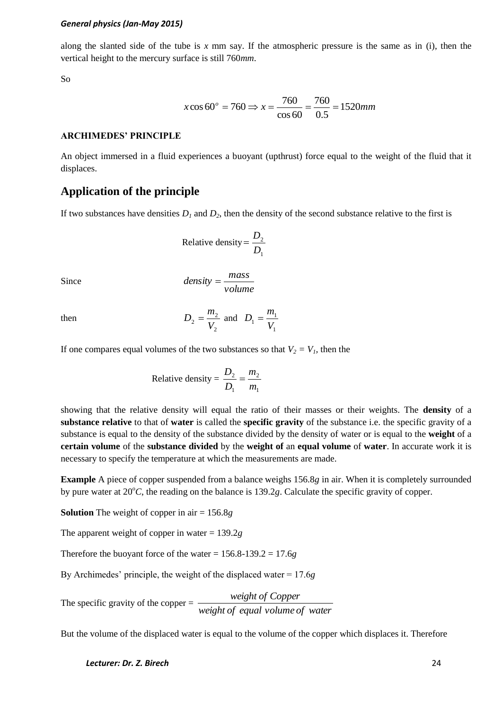along the slanted side of the tube is *x* mm say. If the atmospheric pressure is the same as in (i), then the vertical height to the mercury surface is still 760*mm*.

So

$$
x\cos 60^\circ = 760 \Rightarrow x = \frac{760}{\cos 60} = \frac{760}{0.5} = 1520 \text{mm}
$$

### **ARCHIMEDES' PRINCIPLE**

An object immersed in a fluid experiences a buoyant (upthrust) force equal to the weight of the fluid that it displaces.

# **Application of the principle**

If two substances have densities  $D_1$  and  $D_2$ , then the density of the second substance relative to the first is

Relative density = 
$$
\frac{D_2}{D_1}
$$

Since

$$
density = \frac{mass}{volume}
$$

then

$$
D_2 = \frac{m_2}{V_2}
$$
 and  $D_1 = \frac{m_1}{V_1}$ 

If one compares equal volumes of the two substances so that  $V_2 = V_1$ , then the

Relative density 
$$
=
$$
  $\frac{D_2}{D_1} = \frac{m_2}{m_1}$ 

showing that the relative density will equal the ratio of their masses or their weights. The **density** of a **substance relative** to that of **water** is called the **specific gravity** of the substance i.e. the specific gravity of a substance is equal to the density of the substance divided by the density of water or is equal to the **weight** of a **certain volume** of the **substance divided** by the **weight of** an **equal volume** of **water**. In accurate work it is necessary to specify the temperature at which the measurements are made.

**Example** A piece of copper suspended from a balance weighs 156.8*g* in air. When it is completely surrounded by pure water at  $20^{\circ}C$ , the reading on the balance is 139.2*g*. Calculate the specific gravity of copper.

**Solution** The weight of copper in air = 156.8*g*

The apparent weight of copper in water = 139.2*g*

Therefore the buoyant force of the water = 156.8-139.2 = 17.6*g*

By Archimedes' principle, the weight of the displaced water = 17.6*g*

The specific gravity of the copper  $=$ *weight of equal volume of water weight of Copper*

But the volume of the displaced water is equal to the volume of the copper which displaces it. Therefore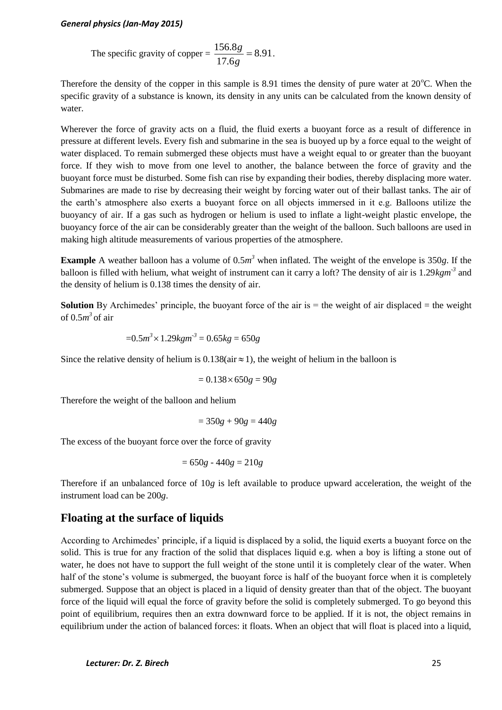The specific gravity of copper = 
$$
\frac{156.8g}{17.6g} = 8.91.
$$

Therefore the density of the copper in this sample is 8.91 times the density of pure water at  $20^{\circ}$ C. When the specific gravity of a substance is known, its density in any units can be calculated from the known density of water.

Wherever the force of gravity acts on a fluid, the fluid exerts a buoyant force as a result of difference in pressure at different levels. Every fish and submarine in the sea is buoyed up by a force equal to the weight of water displaced. To remain submerged these objects must have a weight equal to or greater than the buoyant force. If they wish to move from one level to another, the balance between the force of gravity and the buoyant force must be disturbed. Some fish can rise by expanding their bodies, thereby displacing more water. Submarines are made to rise by decreasing their weight by forcing water out of their ballast tanks. The air of the earth's atmosphere also exerts a buoyant force on all objects immersed in it e.g. Balloons utilize the buoyancy of air. If a gas such as hydrogen or helium is used to inflate a light-weight plastic envelope, the buoyancy force of the air can be considerably greater than the weight of the balloon. Such balloons are used in making high altitude measurements of various properties of the atmosphere.

**Example** A weather balloon has a volume of  $0.5m^3$  when inflated. The weight of the envelope is 350*g*. If the balloon is filled with helium, what weight of instrument can it carry a loft? The density of air is 1.29*kgm-3* and the density of helium is 0.138 times the density of air.

**Solution** By Archimedes' principle, the buoyant force of the air is = the weight of air displaced = the weight of 0.5 $m^3$  of air

$$
=0.5m^3 \times 1.29kgm^{3} = 0.65kg = 650g
$$

Since the relative density of helium is  $0.138$ (air  $\approx$  1), the weight of helium in the balloon is

$$
= 0.138 \times 650g = 90g
$$

Therefore the weight of the balloon and helium

$$
= 350g + 90g = 440g
$$

The excess of the buoyant force over the force of gravity

$$
= 650g - 440g = 210g
$$

Therefore if an unbalanced force of 10*g* is left available to produce upward acceleration, the weight of the instrument load can be 200*g*.

# **Floating at the surface of liquids**

According to Archimedes' principle, if a liquid is displaced by a solid, the liquid exerts a buoyant force on the solid. This is true for any fraction of the solid that displaces liquid e.g. when a boy is lifting a stone out of water, he does not have to support the full weight of the stone until it is completely clear of the water. When half of the stone's volume is submerged, the buoyant force is half of the buoyant force when it is completely submerged. Suppose that an object is placed in a liquid of density greater than that of the object. The buoyant force of the liquid will equal the force of gravity before the solid is completely submerged. To go beyond this point of equilibrium, requires then an extra downward force to be applied. If it is not, the object remains in equilibrium under the action of balanced forces: it floats. When an object that will float is placed into a liquid,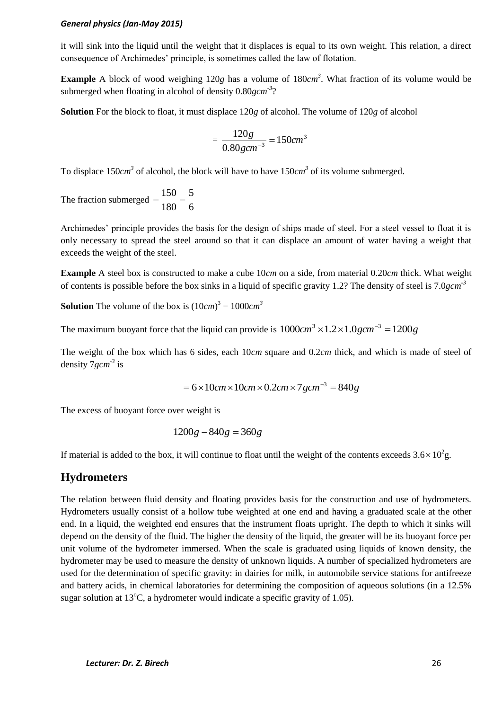it will sink into the liquid until the weight that it displaces is equal to its own weight. This relation, a direct consequence of Archimedes' principle, is sometimes called the law of flotation.

Example A block of wood weighing 120g has a volume of 180*cm*<sup>3</sup>. What fraction of its volume would be submerged when floating in alcohol of density 0.80gcm<sup>-3</sup>?

**Solution** For the block to float, it must displace 120*g* of alcohol. The volume of 120*g* of alcohol

$$
=\frac{120g}{0.80gcm^{-3}}=150cm^{3}
$$

To displace  $150cm<sup>3</sup>$  of alcohol, the block will have to have  $150cm<sup>3</sup>$  of its volume submerged.

The fraction submerged 6 5 180  $=\frac{150}{100}$ 

Archimedes' principle provides the basis for the design of ships made of steel. For a steel vessel to float it is only necessary to spread the steel around so that it can displace an amount of water having a weight that exceeds the weight of the steel.

**Example** A steel box is constructed to make a cube 10*cm* on a side, from material 0.20*cm* thick. What weight of contents is possible before the box sinks in a liquid of specific gravity 1.2? The density of steel is 7.0*gcm -3*

**Solution** The volume of the box is  $(10cm)^3 = 1000cm^3$ 

The maximum buoyant force that the liquid can provide is  $1000cm^3 \times 1.2 \times 1.0gcm^{-3} = 1200g$ 

The weight of the box which has 6 sides, each 10*cm* square and 0.2*cm* thick, and which is made of steel of density 7*gcm*<sup>-3</sup> is

$$
= 6 \times 10
$$
cm $\times 10$ cm $\times 0.2$ cm $\times 7$ gcm<sup>-3</sup> $= 840$ g

The excess of buoyant force over weight is

$$
1200g - 840g = 360g
$$

If material is added to the box, it will continue to float until the weight of the contents exceeds  $3.6 \times 10^2$ g.

## **Hydrometers**

The relation between fluid density and floating provides basis for the construction and use of hydrometers. Hydrometers usually consist of a hollow tube weighted at one end and having a graduated scale at the other end. In a liquid, the weighted end ensures that the instrument floats upright. The depth to which it sinks will depend on the density of the fluid. The higher the density of the liquid, the greater will be its buoyant force per unit volume of the hydrometer immersed. When the scale is graduated using liquids of known density, the hydrometer may be used to measure the density of unknown liquids. A number of specialized hydrometers are used for the determination of specific gravity: in dairies for milk, in automobile service stations for antifreeze and battery acids, in chemical laboratories for determining the composition of aqueous solutions (in a 12.5% sugar solution at 13 $^{\circ}$ C, a hydrometer would indicate a specific gravity of 1.05).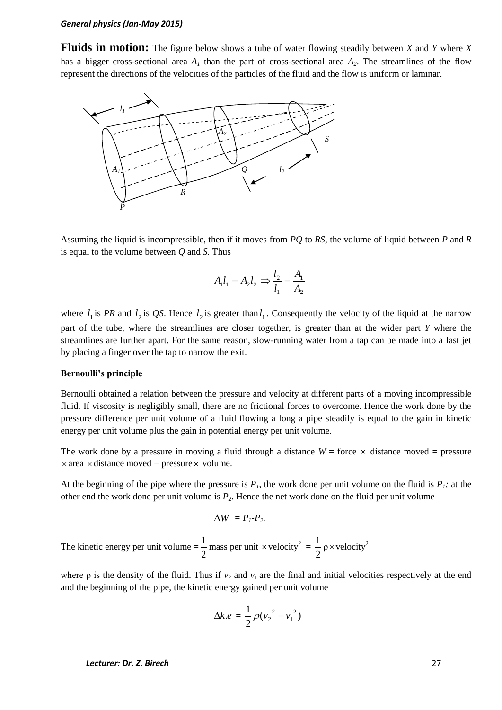**Fluids in motion:** The figure below shows a tube of water flowing steadily between *X* and *Y* where *X* has a bigger cross-sectional area  $A<sub>1</sub>$  than the part of cross-sectional area  $A<sub>2</sub>$ . The streamlines of the flow represent the directions of the velocities of the particles of the fluid and the flow is uniform or laminar.



Assuming the liquid is incompressible, then if it moves from *PQ* to *RS*, the volume of liquid between *P* and *R* is equal to the volume between *Q* and *S.* Thus

$$
A_1 l_1 = A_2 l_2 \Rightarrow \frac{l_2}{l_1} = \frac{A_1}{A_2}
$$

where  $l_1$  is *PR* and  $l_2$  is *QS*. Hence  $l_2$  is greater than  $l_1$ . Consequently the velocity of the liquid at the narrow part of the tube, where the streamlines are closer together, is greater than at the wider part *Y* where the streamlines are further apart. For the same reason, slow-running water from a tap can be made into a fast jet by placing a finger over the tap to narrow the exit.

### **Bernoulli's principle**

Bernoulli obtained a relation between the pressure and velocity at different parts of a moving incompressible fluid. If viscosity is negligibly small, there are no frictional forces to overcome. Hence the work done by the pressure difference per unit volume of a fluid flowing a long a pipe steadily is equal to the gain in kinetic energy per unit volume plus the gain in potential energy per unit volume.

The work done by a pressure in moving a fluid through a distance  $W =$  force  $\times$  distance moved = pressure  $\times$  area  $\times$  distance moved = pressure  $\times$  volume.

At the beginning of the pipe where the pressure is  $P<sub>1</sub>$ , the work done per unit volume on the fluid is  $P<sub>1</sub>$ ; at the other end the work done per unit volume is *P2*. Hence the net work done on the fluid per unit volume

$$
\Delta W = P_I - P_2.
$$

The kinetic energy per unit volume  $=$ 2  $\frac{1}{2}$  mass per unit × velocity<sup>2</sup> = 2  $\frac{1}{2}$   $\rho \times$  velocity<sup>2</sup>

where  $\rho$  is the density of the fluid. Thus if  $v_2$  and  $v_1$  are the final and initial velocities respectively at the end and the beginning of the pipe, the kinetic energy gained per unit volume

$$
\Delta k.e = \frac{1}{2}\rho (v_2^2 - v_1^2)
$$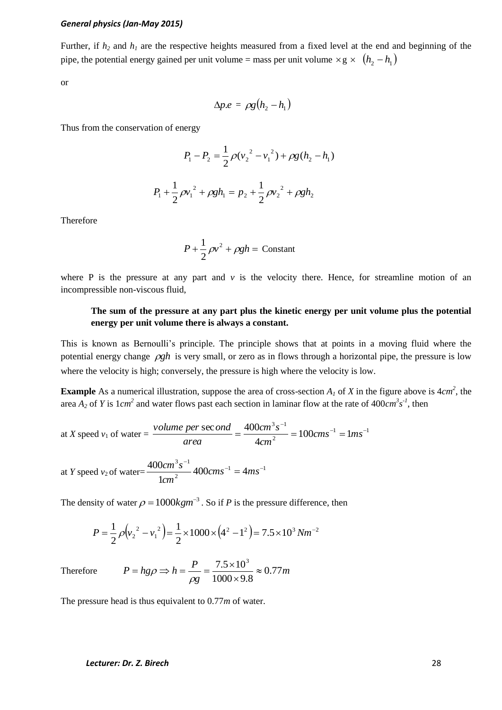Further, if  $h_2$  and  $h_1$  are the respective heights measured from a fixed level at the end and beginning of the pipe, the potential energy gained per unit volume = mass per unit volume  $\times$  g  $\times$   $(h_2 - h_1)$ 

or

$$
\Delta p.e = \rho g (h_2 - h_1)
$$

Thus from the conservation of energy

$$
P_1 - P_2 = \frac{1}{2}\rho(v_2^2 - v_1^2) + \rho g(h_2 - h_1)
$$
  

$$
P_1 + \frac{1}{2}\rho v_1^2 + \rho g h_1 = p_2 + \frac{1}{2}\rho v_2^2 + \rho g h_2
$$

Therefore

$$
P + \frac{1}{2}\rho v^2 + \rho g h = \text{Constant}
$$

where P is the pressure at any part and  $\nu$  is the velocity there. Hence, for streamline motion of an incompressible non-viscous fluid,

### **The sum of the pressure at any part plus the kinetic energy per unit volume plus the potential energy per unit volume there is always a constant.**

This is known as Bernoulli's principle. The principle shows that at points in a moving fluid where the potential energy change  $\rho gh$  is very small, or zero as in flows through a horizontal pipe, the pressure is low where the velocity is high; conversely, the pressure is high where the velocity is low.

**Example** As a numerical illustration, suppose the area of cross-section  $A<sub>1</sub>$  of X in the figure above is  $4cm<sup>2</sup>$ , the area  $A_2$  of Y is  $1cm^2$  and water flows past each section in laminar flow at the rate of  $400cm^3 s^{-1}$ , then

at *X* speed  $v_1$  of water =  $\frac{volume\ per\ sec\ on\ a}{1} = \frac{400cm\ s}{1} = 100cm\ s^{-1} = 1ms^{-1}$ 2  $3 - 1$  $100 \, cm s^{-1} = 1$ 4  $\sec$  ond  $=$  400 $cm^3 s^{-1}$   $=$  100 $cm s^{-1}$   $= 1 m s^{-1}$  $=\frac{400cm^{3}}{s} = 100cm s^{-1} = 1ms$ *cm cm s area volume per ond*

at *Y* speed *v*<sub>2</sub> of water= $\frac{400cm \text{ s}}{1}$   $\frac{3}{2}$   $\frac{400cm \text{ s}^{-1}}{1}$  =  $4ms^{-1}$ 2  $3 - 1$  $400$  cm s<sup>-1</sup> = 4 1  $400 cm^3 s^{-1}$   $400 cm s^{-1}$   $4 m s^{-1}$  $cms^{-1} = 4ms$ *cm cm s*

The density of water  $\rho = 1000 kgm^{-3}$ . So if *P* is the pressure difference, then

$$
P = \frac{1}{2}\rho \left(v_2^2 - v_1^2\right) = \frac{1}{2} \times 1000 \times \left(4^2 - 1^2\right) = 7.5 \times 10^3 N m^{-2}
$$

Therefore *m g*  $P = hg\rho \Rightarrow h = \frac{P}{1.5 \times 10^{3}} \approx 0.77$  $1000 \times 9.8$  $\frac{7.5 \times 10^3}{2.00 \times 10^3} \approx$  $\times$  $= h g \rho \Rightarrow h = \frac{P}{1.5} = \frac{7.5 \times 10^{-14}}{1.5 \times 10^{-14}}$  $\rho$  $\rho$ 

The pressure head is thus equivalent to 0.77*m* of water.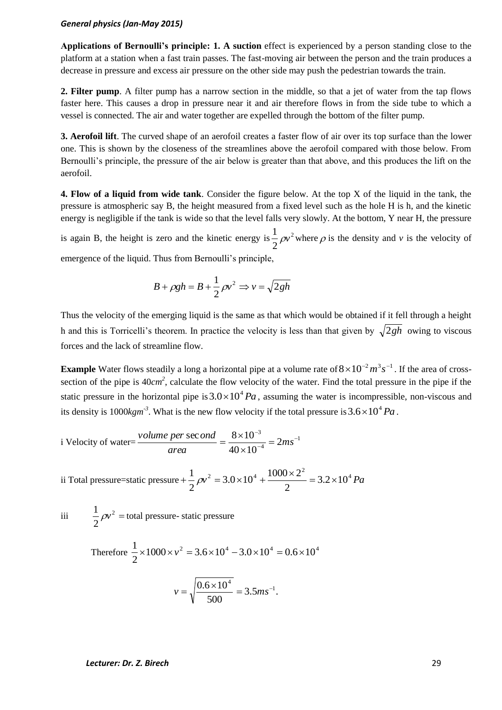**Applications of Bernoulli's principle: 1. A suction** effect is experienced by a person standing close to the platform at a station when a fast train passes. The fast-moving air between the person and the train produces a decrease in pressure and excess air pressure on the other side may push the pedestrian towards the train.

**2. Filter pump**. A filter pump has a narrow section in the middle, so that a jet of water from the tap flows faster here. This causes a drop in pressure near it and air therefore flows in from the side tube to which a vessel is connected. The air and water together are expelled through the bottom of the filter pump.

**3. Aerofoil lift**. The curved shape of an aerofoil creates a faster flow of air over its top surface than the lower one. This is shown by the closeness of the streamlines above the aerofoil compared with those below. From Bernoulli's principle, the pressure of the air below is greater than that above, and this produces the lift on the aerofoil.

**4. Flow of a liquid from wide tank**. Consider the figure below. At the top X of the liquid in the tank, the pressure is atmospheric say B, the height measured from a fixed level such as the hole H is h, and the kinetic energy is negligible if the tank is wide so that the level falls very slowly. At the bottom, Y near H, the pressure

is again B, the height is zero and the kinetic energy is  $\frac{1}{2} \rho v^2$ 2  $\frac{1}{2}\rho v^2$  where  $\rho$  is the density and *v* is the velocity of emergence of the liquid. Thus from Bernoulli's principle,

$$
B + \rho g h = B + \frac{1}{2} \rho v^2 \Rightarrow v = \sqrt{2gh}
$$

Thus the velocity of the emerging liquid is the same as that which would be obtained if it fell through a height h and this is Torricelli's theorem. In practice the velocity is less than that given by  $\sqrt{2gh}$  owing to viscous forces and the lack of streamline flow.

**Example** Water flows steadily a long a horizontal pipe at a volume rate of  $8 \times 10^{-2} m^3 s^{-1}$ . If the area of crosssection of the pipe is  $40cm^2$ , calculate the flow velocity of the water. Find the total pressure in the pipe if the static pressure in the horizontal pipe is  $3.0 \times 10^4 Pa$ , assuming the water is incompressible, non-viscous and its density is  $1000 \text{kg}m^3$ . What is the new flow velocity if the total pressure is  $3.6 \times 10^4$  Pa.

i Velocity of water=
$$
\frac{volume\ per\ sec\ on\ d}{area} = \frac{8 \times 10^{-3}}{40 \times 10^{-4}} = 2ms^{-1}
$$

ii Total pressure=static pressure +  $\frac{1}{2} \rho v^2 = 3.0 \times 10^4 + \frac{1000 \times 2^2}{2} = 3.2 \times 10^4 Pa$ 2  $3.0 \times 10^4 + \frac{1000 \times 2}{1000 \times 10^4}$ 2  $+\frac{1}{2}\rho v^2 = 3.0 \times 10^4 + \frac{1000 \times 2^2}{2} = 3.2 \times$ 

iii  $2 =$ 2  $\frac{1}{2}\rho v^2$  = total pressure- static pressure

> Therefore  $\frac{1}{2} \times 1000 \times v^2 = 3.6 \times 10^4 - 3.0 \times 10^4 = 0.6 \times 10^4$ 2  $\frac{1}{2} \times 1000 \times v^2 = 3.6 \times 10^4 - 3.0 \times 10^4 = 0.6 \times$  $v = \sqrt{\frac{0.6 \times 10}{1.500}} = 3.5 m s^{-1}.$ 500  $v = \sqrt{\frac{0.6 \times 10^4}{200}} = 3.5 m s^{-1}$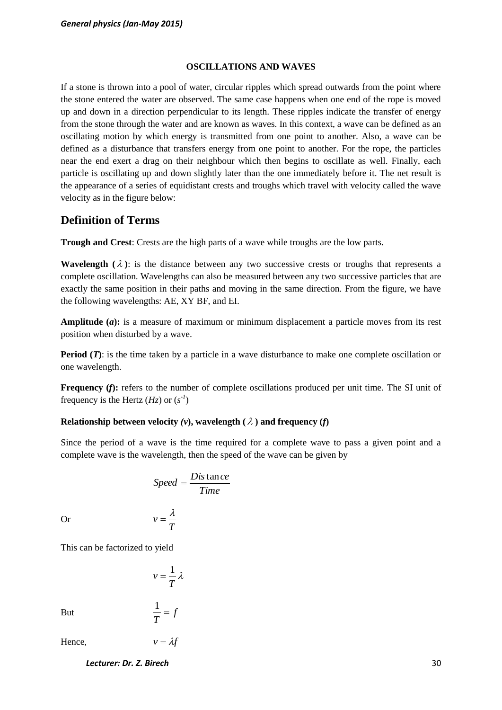### **OSCILLATIONS AND WAVES**

If a stone is thrown into a pool of water, circular ripples which spread outwards from the point where the stone entered the water are observed. The same case happens when one end of the rope is moved up and down in a direction perpendicular to its length. These ripples indicate the transfer of energy from the stone through the water and are known as waves. In this context, a wave can be defined as an oscillating motion by which energy is transmitted from one point to another. Also, a wave can be defined as a disturbance that transfers energy from one point to another. For the rope, the particles near the end exert a drag on their neighbour which then begins to oscillate as well. Finally, each particle is oscillating up and down slightly later than the one immediately before it. The net result is the appearance of a series of equidistant crests and troughs which travel with velocity called the wave velocity as in the figure below:

# **Definition of Terms**

**Trough and Crest**: Crests are the high parts of a wave while troughs are the low parts.

**Wavelength**  $(\lambda)$ : is the distance between any two successive crests or troughs that represents a complete oscillation. Wavelengths can also be measured between any two successive particles that are exactly the same position in their paths and moving in the same direction. From the figure, we have the following wavelengths: AE, XY BF, and EI.

**Amplitude (***a***):** is a measure of maximum or minimum displacement a particle moves from its rest position when disturbed by a wave.

**Period (***T*): is the time taken by a particle in a wave disturbance to make one complete oscillation or one wavelength.

**Frequency (f):** refers to the number of complete oscillations produced per unit time. The SI unit of frequency is the Hertz  $(Hz)$  or  $(s^{-1})$ 

### **Relationship between velocity**  $(v)$ **, wavelength**  $(\lambda)$  **and frequency**  $(f)$

Since the period of a wave is the time required for a complete wave to pass a given point and a complete wave is the wavelength, then the speed of the wave can be given by

$$
Speed = \frac{Dis \tan ce}{Time}
$$

$$
v = \frac{\lambda}{T}
$$

Or

This can be factorized to yield

$$
v = \frac{1}{T} \lambda
$$

*f*

*T*  $\frac{1}{2}$  =

*T*

But

Hence,  $v = \lambda f$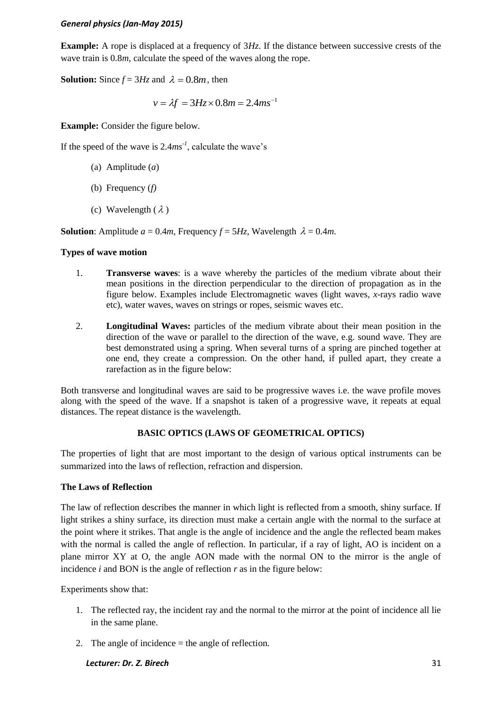**Example:** A rope is displaced at a frequency of  $3H<sub>z</sub>$ . If the distance between successive crests of the wave train is  $0.8m$ , calculate the speed of the waves along the rope.

**Solution:** Since  $f = 3Hz$  and  $\lambda = 0.8m$ , then

$$
v = \lambda f = 3Hz \times 0.8m = 2.4ms^{-1}
$$

**Example:** Consider the figure below.

If the speed of the wave is  $2.4ms^{-1}$ , calculate the wave's

- (a) Amplitude (*a*)
- (b) Frequency (*f)*
- (c) Wavelength  $(\lambda)$

**Solution**: Amplitude  $a = 0.4m$ , Frequency  $f = 5Hz$ , Wavelength  $\lambda = 0.4m$ .

### **Types of wave motion**

- 1. **Transverse waves**: is a wave whereby the particles of the medium vibrate about their mean positions in the direction perpendicular to the direction of propagation as in the figure below. Examples include Electromagnetic waves (light waves, *x*-rays radio wave etc), water waves, waves on strings or ropes, seismic waves etc.
- 2. **Longitudinal Waves:** particles of the medium vibrate about their mean position in the direction of the wave or parallel to the direction of the wave, e.g. sound wave. They are best demonstrated using a spring. When several turns of a spring are pinched together at one end, they create a compression. On the other hand, if pulled apart, they create a rarefaction as in the figure below:

Both transverse and longitudinal waves are said to be progressive waves i.e. the wave profile moves along with the speed of the wave. If a snapshot is taken of a progressive wave, it repeats at equal distances. The repeat distance is the wavelength.

### **BASIC OPTICS (LAWS OF GEOMETRICAL OPTICS)**

The properties of light that are most important to the design of various optical instruments can be summarized into the laws of reflection, refraction and dispersion.

### **The Laws of Reflection**

The law of reflection describes the manner in which light is reflected from a smooth, shiny surface. If light strikes a shiny surface, its direction must make a certain angle with the normal to the surface at the point where it strikes. That angle is the angle of incidence and the angle the reflected beam makes with the normal is called the angle of reflection. In particular, if a ray of light, AO is incident on a plane mirror XY at O, the angle AON made with the normal ON to the mirror is the angle of incidence *i* and BON is the angle of reflection *r* as in the figure below:

Experiments show that:

- 1. The reflected ray, the incident ray and the normal to the mirror at the point of incidence all lie in the same plane.
- 2. The angle of incidence  $=$  the angle of reflection.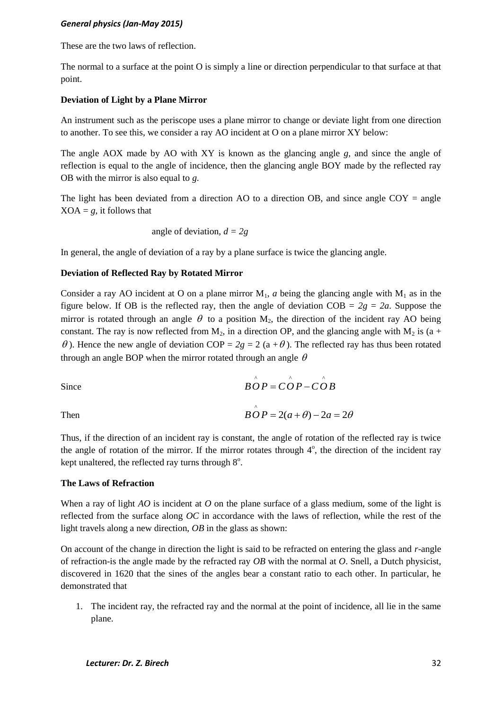These are the two laws of reflection.

The normal to a surface at the point O is simply a line or direction perpendicular to that surface at that point.

#### **Deviation of Light by a Plane Mirror**

An instrument such as the periscope uses a plane mirror to change or deviate light from one direction to another. To see this, we consider a ray AO incident at O on a plane mirror XY below:

The angle AOX made by AO with XY is known as the glancing angle *g,* and since the angle of reflection is equal to the angle of incidence, then the glancing angle BOY made by the reflected ray OB with the mirror is also equal to *g*.

The light has been deviated from a direction AO to a direction OB, and since angle  $COY = angle$  $XOA = g$ , it follows that

angle of deviation, 
$$
d = 2g
$$

In general, the angle of deviation of a ray by a plane surface is twice the glancing angle.

### **Deviation of Reflected Ray by Rotated Mirror**

Consider a ray AO incident at O on a plane mirror  $M_1$ , *a* being the glancing angle with  $M_1$  as in the figure below. If OB is the reflected ray, then the angle of deviation  $COB = 2g = 2a$ . Suppose the mirror is rotated through an angle  $\theta$  to a position  $M_2$ , the direction of the incident ray AO being constant. The ray is now reflected from  $M_2$ , in a direction OP, and the glancing angle with  $M_2$  is (a +  $\theta$ ). Hence the new angle of deviation COP = 2g = 2 (a +  $\theta$ ). The reflected ray has thus been rotated through an angle BOP when the mirror rotated through an angle  $\theta$ 

Since 
$$
\angle BOP = \angle OP - \angle OB
$$

Then

Thus, if the direction of an incident ray is constant, the angle of rotation of the reflected ray is twice the angle of rotation of the mirror. If the mirror rotates through  $4^\circ$ , the direction of the incident ray kept unaltered, the reflected ray turns through  $8^\circ$ .

 $\overrightarrow{BOP} = 2(a + \theta) - 2a = 2\theta$ 

#### **The Laws of Refraction**

When a ray of light *AO* is incident at *O* on the plane surface of a glass medium, some of the light is reflected from the surface along *OC* in accordance with the laws of reflection, while the rest of the light travels along a new direction, *OB* in the glass as shown:

On account of the change in direction the light is said to be refracted on entering the glass and *r*-angle of refraction-is the angle made by the refracted ray *OB* with the normal at *O*. Snell, a Dutch physicist, discovered in 1620 that the sines of the angles bear a constant ratio to each other. In particular, he demonstrated that

1. The incident ray, the refracted ray and the normal at the point of incidence, all lie in the same plane.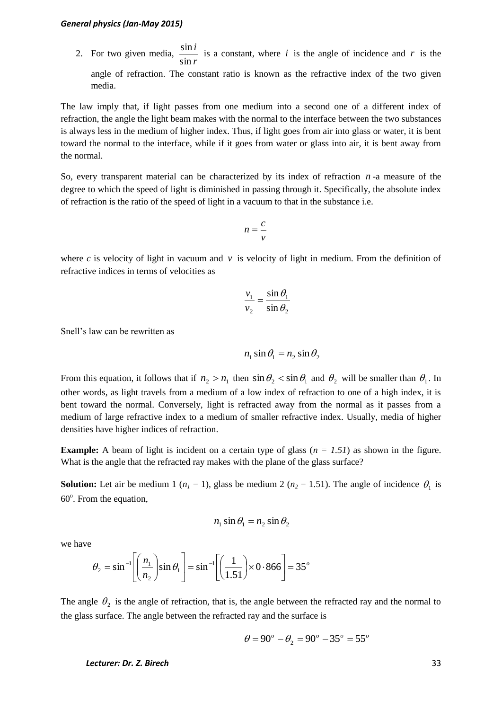2. For two given media, *r i* sin  $\frac{\sin i}{i}$  is a constant, where *i* is the angle of incidence and *r* is the angle of refraction. The constant ratio is known as the refractive index of the two given media.

The law imply that, if light passes from one medium into a second one of a different index of refraction, the angle the light beam makes with the normal to the interface between the two substances is always less in the medium of higher index. Thus, if light goes from air into glass or water, it is bent toward the normal to the interface, while if it goes from water or glass into air, it is bent away from the normal.

So, every transparent material can be characterized by its index of refraction *n* -a measure of the degree to which the speed of light is diminished in passing through it. Specifically, the absolute index of refraction is the ratio of the speed of light in a vacuum to that in the substance i.e.

$$
n=\frac{c}{v}
$$

where  $c$  is velocity of light in vacuum and  $v$  is velocity of light in medium. From the definition of refractive indices in terms of velocities as

$$
\frac{v_1}{v_2} = \frac{\sin \theta_1}{\sin \theta_2}
$$

Snell's law can be rewritten as

$$
n_1 \sin \theta_1 = n_2 \sin \theta_2
$$

From this equation, it follows that if  $n_2 > n_1$  then  $\sin \theta_2 < \sin \theta_1$  and  $\theta_2$  will be smaller than  $\theta_1$ . In other words, as light travels from a medium of a low index of refraction to one of a high index, it is bent toward the normal. Conversely, light is refracted away from the normal as it passes from a medium of large refractive index to a medium of smaller refractive index. Usually, media of higher densities have higher indices of refraction.

**Example:** A beam of light is incident on a certain type of glass  $(n = 1.51)$  as shown in the figure. What is the angle that the refracted ray makes with the plane of the glass surface?

**Solution:** Let air be medium 1 ( $n_1 = 1$ ), glass be medium 2 ( $n_2 = 1.51$ ). The angle of incidence  $\theta_1$  is 60°. From the equation,

$$
n_1 \sin \theta_1 = n_2 \sin \theta_2
$$

we have

$$
\theta_2 = \sin^{-1}\left[\left(\frac{n_1}{n_2}\right)\sin\theta_1\right] = \sin^{-1}\left[\left(\frac{1}{1.51}\right) \times 0.866\right] = 35^\circ
$$

The angle  $\theta_2$  is the angle of refraction, that is, the angle between the refracted ray and the normal to the glass surface. The angle between the refracted ray and the surface is

$$
\theta = 90^{\circ} - \theta_2 = 90^{\circ} - 35^{\circ} = 55^{\circ}
$$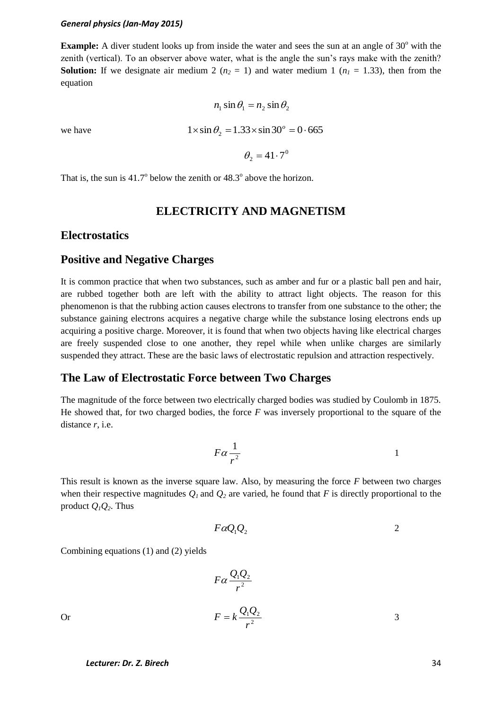**Example:** A diver student looks up from inside the water and sees the sun at an angle of  $30^{\circ}$  with the zenith (vertical). To an observer above water, what is the angle the sun's rays make with the zenith? **Solution:** If we designate air medium 2 ( $n_2 = 1$ ) and water medium 1 ( $n_1 = 1.33$ ), then from the equation

$$
n_1 \sin \theta_1 = n_2 \sin \theta_2
$$
  
we have  

$$
1 \times \sin \theta_2 = 1.33 \times \sin 30^\circ = 0.665
$$

 $\theta_2 = 41 \cdot 7^0$ 

That is, the sun is 
$$
41.7^{\circ}
$$
 below the zenith or  $48.3^{\circ}$  above the horizon.

# **ELECTRICITY AND MAGNETISM**

### **Electrostatics**

## **Positive and Negative Charges**

It is common practice that when two substances, such as amber and fur or a plastic ball pen and hair, are rubbed together both are left with the ability to attract light objects. The reason for this phenomenon is that the rubbing action causes electrons to transfer from one substance to the other; the substance gaining electrons acquires a negative charge while the substance losing electrons ends up acquiring a positive charge. Moreover, it is found that when two objects having like electrical charges are freely suspended close to one another, they repel while when unlike charges are similarly suspended they attract. These are the basic laws of electrostatic repulsion and attraction respectively.

### **The Law of Electrostatic Force between Two Charges**

The magnitude of the force between two electrically charged bodies was studied by Coulomb in 1875. He showed that, for two charged bodies, the force *F* was inversely proportional to the square of the distance *r*, i.e.

$$
F\alpha \frac{1}{r^2} \qquad \qquad 1
$$

This result is known as the inverse square law. Also, by measuring the force *F* between two charges when their respective magnitudes  $Q_I$  and  $Q_2$  are varied, he found that *F* is directly proportional to the product  $Q_1Q_2$ . Thus

$$
F\alpha Q_1Q_2 \qquad \qquad 2
$$

Combining equations (1) and (2) yields

$$
F\alpha \frac{Q_1 Q_2}{r^2}
$$
  

$$
F = k \frac{Q_1 Q_2}{r^2}
$$

Or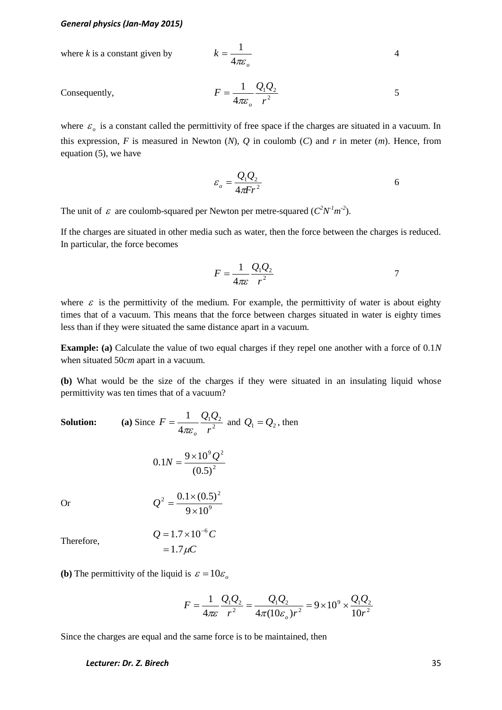where *k* is a constant given by 
$$
k = \frac{1}{4\pi\varepsilon_o}
$$
 4

Consequently,

$$
F = \frac{1}{4\pi\varepsilon_o} \frac{Q_1 Q_2}{r^2}
$$
 5

where  $\varepsilon$ <sub>o</sub> is a constant called the permittivity of free space if the charges are situated in a vacuum. In this expression,  $F$  is measured in Newton  $(N)$ ,  $Q$  in coulomb  $(C)$  and  $r$  in meter  $(m)$ . Hence, from equation (5), we have

$$
\varepsilon_o = \frac{Q_1 Q_2}{4\pi Fr^2} \tag{6}
$$

The unit of  $\varepsilon$  are coulomb-squared per Newton per metre-squared  $(C^2N^1m^2)$ .

If the charges are situated in other media such as water, then the force between the charges is reduced. In particular, the force becomes

$$
F = \frac{1}{4\pi\varepsilon} \frac{Q_1 Q_2}{r^2}
$$

where  $\varepsilon$  is the permittivity of the medium. For example, the permittivity of water is about eighty times that of a vacuum. This means that the force between charges situated in water is eighty times less than if they were situated the same distance apart in a vacuum.

**Example:** (a) Calculate the value of two equal charges if they repel one another with a force of 0.1*N* when situated 50*cm* apart in a vacuum.

**(b)** What would be the size of the charges if they were situated in an insulating liquid whose permittivity was ten times that of a vacuum?

**Solution:** (a) Since  $F = \frac{1}{4\pi\epsilon_0} \frac{\mathcal{L}^2}{r^2}$  $122$ 4 1 *r*  $F = \frac{1}{4\pi} \frac{Q_1 Q}{Q_2}$  $\pi\varepsilon_{_o}$  $=\frac{1}{4\pi\epsilon_0}\frac{\mathcal{Q}_1\mathcal{Q}_2}{r^2}$  and  $Q_1 = Q_2$ , then 2  $9\Omega^2$  $(0.5)$  $0.1N = \frac{9 \times 10^9 Q}{(0.5 \times 3)^2}$ Or 9  $_2$   $_2$  0.1  $\times$  (0.5)<sup>2</sup>  $9 \times 10$  $0.1 \times (0.5)$  $\times$  $Q^2 = \frac{0.1 \times}{1}$ Therefore,  $= 1.7 \mu C$  $Q = 1.7 \times 10^{-6} C$ 

**(b)** The permittivity of the liquid is  $\varepsilon = 10\varepsilon_o$ 

$$
F = \frac{1}{4\pi\varepsilon} \frac{Q_1 Q_2}{r^2} = \frac{Q_1 Q_2}{4\pi (10\varepsilon_o)r^2} = 9 \times 10^9 \times \frac{Q_1 Q_2}{10r^2}
$$

Since the charges are equal and the same force is to be maintained, then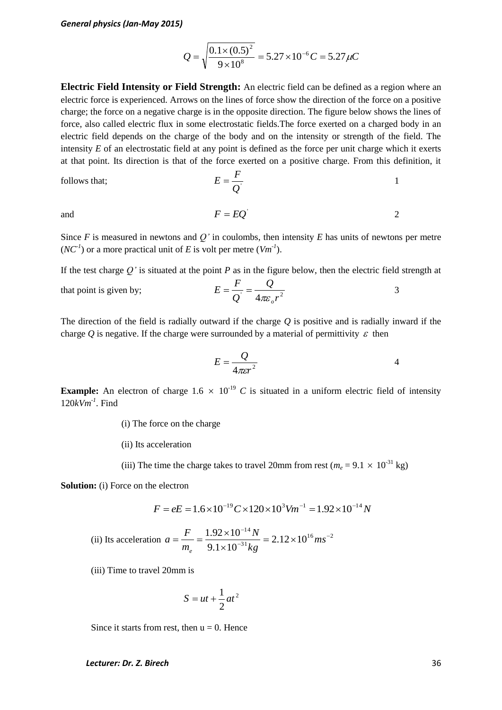$$
Q = \sqrt{\frac{0.1 \times (0.5)^2}{9 \times 10^8}} = 5.27 \times 10^{-6} C = 5.27 \,\mu C
$$

**Electric Field Intensity or Field Strength:** An electric field can be defined as a region where an electric force is experienced. Arrows on the lines of force show the direction of the force on a positive charge; the force on a negative charge is in the opposite direction. The figure below shows the lines of force, also called electric flux in some electrostatic fields.The force exerted on a charged body in an electric field depends on the charge of the body and on the intensity or strength of the field. The intensity *E* of an electrostatic field at any point is defined as the force per unit charge which it exerts at that point. Its direction is that of the force exerted on a positive charge. From this definition, it

follows that; 
$$
E = \frac{F}{Q}
$$
 1

 $F = EQ^{\dagger}$ 

and

Since *F* is measured in newtons and *Q'* in coulombs, then intensity *E* has units of newtons per metre  $(NC<sup>1</sup>)$  or a more practical unit of *E* is volt per metre  $(Vm<sup>-1</sup>)$ .

If the test charge *Q'* is situated at the point *P* as in the figure below, then the electric field strength at

that point is given by; 
$$
E = \frac{F}{Q} = \frac{Q}{4\pi\varepsilon_o r^2}
$$
 3

The direction of the field is radially outward if the charge *Q* is positive and is radially inward if the charge  $Q$  is negative. If the charge were surrounded by a material of permittivity  $\varepsilon$  then

$$
E = \frac{Q}{4\pi\epsilon r^2}
$$
4

2

**Example:** An electron of charge  $1.6 \times 10^{-19}$  C is situated in a uniform electric field of intensity 120*kVm-1* . Find

(i) The force on the charge

(ii) Its acceleration

(iii) The time the charge takes to travel 20mm from rest ( $m_e$  = 9.1  $\times$  10<sup>-31</sup> kg)

**Solution:** (i) Force on the electron

$$
F = eE = 1.6 \times 10^{-19} C \times 120 \times 10^{3} V m^{-1} = 1.92 \times 10^{-14} N
$$

(ii) Its acceleration 
$$
a = \frac{F}{m_e} = \frac{1.92 \times 10^{-14} N}{9.1 \times 10^{-31} kg} = 2.12 \times 10^{16} m s^{-2}
$$

(iii) Time to travel 20mm is

$$
S = ut + \frac{1}{2}at^2
$$

Since it starts from rest, then  $u = 0$ . Hence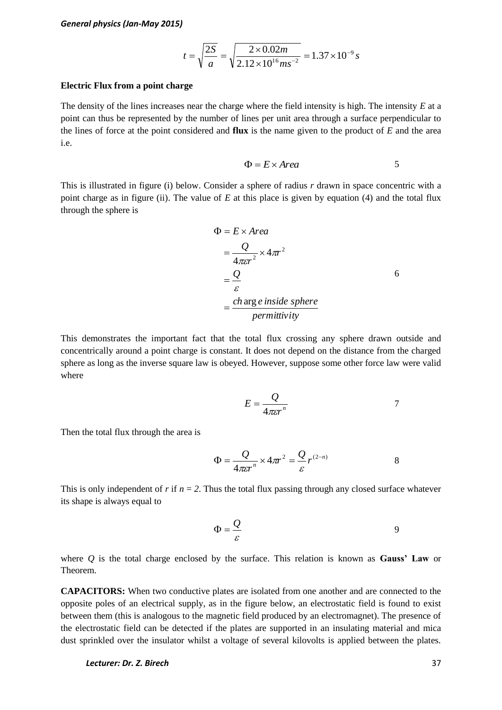$$
t = \sqrt{\frac{2S}{a}} = \sqrt{\frac{2 \times 0.02m}{2.12 \times 10^{16} m s^{-2}}} = 1.37 \times 10^{-9} s
$$

#### **Electric Flux from a point charge**

The density of the lines increases near the charge where the field intensity is high. The intensity *E* at a point can thus be represented by the number of lines per unit area through a surface perpendicular to the lines of force at the point considered and **flux** is the name given to the product of *E* and the area i.e.

$$
\Phi = E \times Area \tag{5}
$$

This is illustrated in figure (i) below. Consider a sphere of radius *r* drawn in space concentric with a point charge as in figure (ii). The value of *E* at this place is given by equation (4) and the total flux through the sphere is

$$
\Phi = E \times Area
$$
  
=  $\frac{Q}{4\pi\epsilon r^2} \times 4\pi r^2$   
=  $\frac{Q}{\epsilon}$   
=  $\frac{ch \arg e \text{ inside sphere}}{permittivity}$ 

This demonstrates the important fact that the total flux crossing any sphere drawn outside and concentrically around a point charge is constant. It does not depend on the distance from the charged sphere as long as the inverse square law is obeyed. However, suppose some other force law were valid where

$$
E = \frac{Q}{4\pi\epsilon r^n} \tag{7}
$$

Then the total flux through the area is

$$
\Phi = \frac{Q}{4\pi\epsilon r^n} \times 4\pi r^2 = \frac{Q}{\epsilon} r^{(2-n)} \tag{8}
$$

This is only independent of  $r$  if  $n = 2$ . Thus the total flux passing through any closed surface whatever its shape is always equal to

$$
\Phi = \frac{Q}{\varepsilon} \tag{9}
$$

where *Q* is the total charge enclosed by the surface. This relation is known as **Gauss' Law** or Theorem.

**CAPACITORS:** When two conductive plates are isolated from one another and are connected to the opposite poles of an electrical supply, as in the figure below, an electrostatic field is found to exist between them (this is analogous to the magnetic field produced by an electromagnet). The presence of the electrostatic field can be detected if the plates are supported in an insulating material and mica dust sprinkled over the insulator whilst a voltage of several kilovolts is applied between the plates.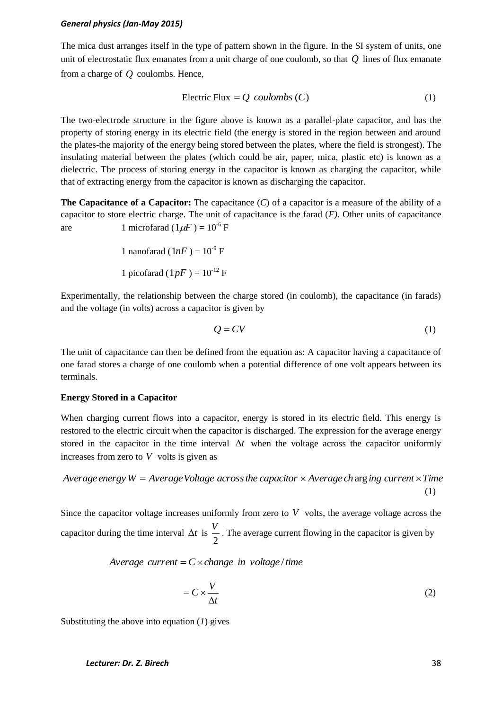The mica dust arranges itself in the type of pattern shown in the figure. In the SI system of units, one unit of electrostatic flux emanates from a unit charge of one coulomb, so that *Q* lines of flux emanate from a charge of *Q* coulombs. Hence,

$$
Electric Flux = Q\ coulombs (C)
$$
 (1)

The two-electrode structure in the figure above is known as a parallel-plate capacitor, and has the property of storing energy in its electric field (the energy is stored in the region between and around the plates-the majority of the energy being stored between the plates, where the field is strongest). The insulating material between the plates (which could be air, paper, mica, plastic etc) is known as a dielectric. The process of storing energy in the capacitor is known as charging the capacitor, while that of extracting energy from the capacitor is known as discharging the capacitor.

**The Capacitance of a Capacitor:** The capacitance (*C*) of a capacitor is a measure of the ability of a capacitor to store electric charge. The unit of capacitance is the farad (*F)*. Other units of capacitance are 1 microfarad  $(1 \mu F) = 10^{-6}$  F

> 1 nanofarad  $(1nF) = 10^{-9} F$ 1 picofarad  $(1pF) = 10^{-12} F$

Experimentally, the relationship between the charge stored (in coulomb), the capacitance (in farads) and the voltage (in volts) across a capacitor is given by

$$
Q = CV \tag{1}
$$

The unit of capacitance can then be defined from the equation as: A capacitor having a capacitance of one farad stores a charge of one coulomb when a potential difference of one volt appears between its terminals.

### **Energy Stored in a Capacitor**

When charging current flows into a capacitor, energy is stored in its electric field. This energy is restored to the electric circuit when the capacitor is discharged. The expression for the average energy stored in the capacitor in the time interval  $\Delta t$  when the voltage across the capacitor uniformly increases from zero to  $V$  volts is given as

*Average energy*  $W = Average Voltage$  *caross the capacitor*  $\times$  *Average charging current*  $\times$  *Time* (1)

Since the capacitor voltage increases uniformly from zero to  $V$  volts, the average voltage across the capacitor during the time interval  $\Delta t$  is 2  $\frac{V}{I}$ . The average current flowing in the capacitor is given by

### *Average current* =  $C \times$ *change in voltage* /*time*

$$
= C \times \frac{V}{\Delta t} \tag{2}
$$

Substituting the above into equation (*1*) gives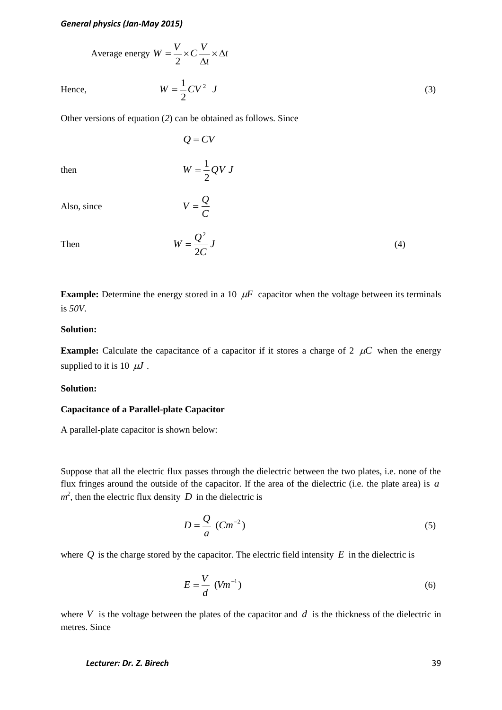Average energy 
$$
W = \frac{V}{2} \times C \frac{V}{\Delta t} \times \Delta t
$$

Hence,  $W = \frac{1}{2}CV^2$  *J*  $=\frac{1}{2}CV^2$ 

Other versions of equation (*2*) can be obtained as follows. Since

2

then

$$
W = \frac{1}{2} QV J
$$

*C*  $V = \frac{Q}{q}$ 

 $Q = CV$ 

Also, since

Then 
$$
W = \frac{Q^2}{2C} J
$$

**Example:** Determine the energy stored in a 10  $\mu$ F capacitor when the voltage between its terminals is *50V*.

### **Solution:**

**Example:** Calculate the capacitance of a capacitor if it stores a charge of 2  $\mu$ C when the energy supplied to it is 10  $\mu$ *J*.

### **Solution:**

### **Capacitance of a Parallel-plate Capacitor**

A parallel-plate capacitor is shown below:

Suppose that all the electric flux passes through the dielectric between the two plates, i.e. none of the flux fringes around the outside of the capacitor. If the area of the dielectric (i.e. the plate area) is *a*  $m^2$ , then the electric flux density D in the dielectric is

$$
D = \frac{Q}{a} \ (Cm^{-2})
$$
 (5)

where  $Q$  is the charge stored by the capacitor. The electric field intensity  $E$  in the dielectric is

$$
E = \frac{V}{d} \left( V m^{-1} \right) \tag{6}
$$

where  $V$  is the voltage between the plates of the capacitor and  $d$  is the thickness of the dielectric in metres. Since

### *Lecturer: Dr. Z. Birech* 39

(3)

(4)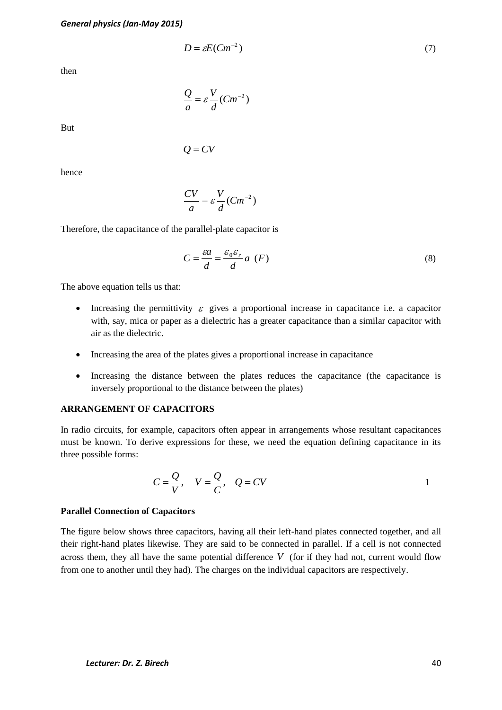$$
D = \varepsilon E (Cm^{-2}) \tag{7}
$$

then

$$
\frac{Q}{a} = \varepsilon \frac{V}{d}(Cm^{-2})
$$

 $Q = CV$ 

But

hence

$$
\frac{CV}{a} = \varepsilon \frac{V}{d}(Cm^{-2})
$$

Therefore, the capacitance of the parallel-plate capacitor is

$$
C = \frac{\varepsilon a}{d} = \frac{\varepsilon_0 \varepsilon_r}{d} a \, (F) \tag{8}
$$

The above equation tells us that:

- Increasing the permittivity  $\varepsilon$  gives a proportional increase in capacitance i.e. a capacitor with, say, mica or paper as a dielectric has a greater capacitance than a similar capacitor with air as the dielectric.
- Increasing the area of the plates gives a proportional increase in capacitance
- Increasing the distance between the plates reduces the capacitance (the capacitance is inversely proportional to the distance between the plates)

#### **ARRANGEMENT OF CAPACITORS**

In radio circuits, for example, capacitors often appear in arrangements whose resultant capacitances must be known. To derive expressions for these, we need the equation defining capacitance in its three possible forms:

$$
C = \frac{Q}{V}, \quad V = \frac{Q}{C}, \quad Q = CV
$$

### **Parallel Connection of Capacitors**

 $D = \partial N(Gn^{-2})$  (3)<br>  $Q = cV$ <br>  $Q' = CV$ <br>  $\frac{CV}{a} = c\frac{V}{d}(Gn^{-2})$ <br>
ore, the capacitance of the purallel-plate capacitor is<br>
ore, the capacitance of the purallel-plate capacitor is<br>  $C = \frac{\partial q}{dt} = \frac{\mu_0 \mu_0}{d} a$ ,  $(F)$  (8)<br>
over equ The figure below shows three capacitors, having all their left-hand plates connected together, and all their right-hand plates likewise. They are said to be connected in parallel. If a cell is not connected across them, they all have the same potential difference  $V$  (for if they had not, current would flow from one to another until they had). The charges on the individual capacitors are respectively.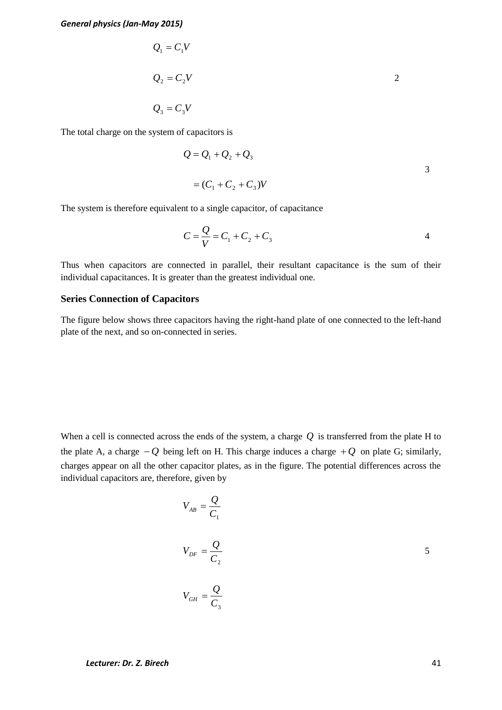$$
Q_1 = C_1 V
$$
  
\n
$$
Q_2 = C_2 V
$$
  
\n
$$
Q_3 = C_3 V
$$

The total charge on the system of capacitors is

$$
Q = Q_1 + Q_2 + Q_3
$$
  
=  $(C_1 + C_2 + C_3)V$ 

The system is therefore equivalent to a single capacitor, of capacitance

$$
C = \frac{Q}{V} = C_1 + C_2 + C_3
$$
 4

Thus when capacitors are connected in parallel, their resultant capacitance is the sum of their individual capacitances. It is greater than the greatest individual one.

### **Series Connection of Capacitors**

The figure below shows three capacitors having the right-hand plate of one connected to the left-hand plate of the next, and so on-connected in series.

When a cell is connected across the ends of the system, a charge  $Q$  is transferred from the plate H to the plate A, a charge  $-Q$  being left on H. This charge induces a charge  $+Q$  on plate G; similarly, charges appear on all the other capacitor plates, as in the figure. The potential differences across the individual capacitors are, therefore, given by

$$
V_{AB} = \frac{Q}{C_1}
$$
  

$$
V_{DF} = \frac{Q}{C_2}
$$
  

$$
V_{GH} = \frac{Q}{C_3}
$$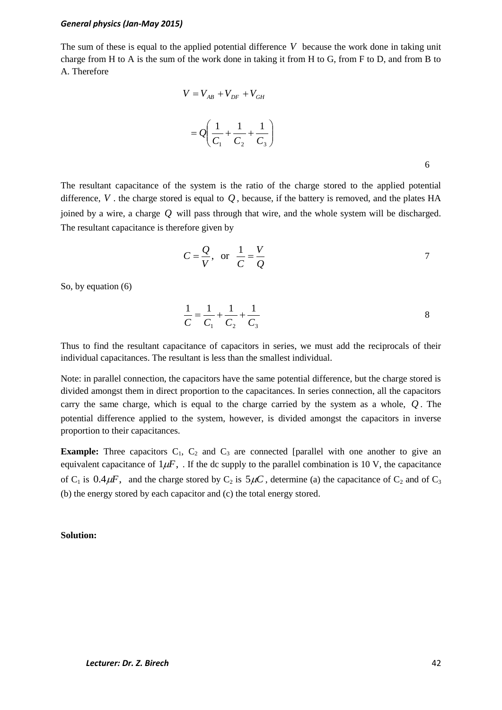The sum of these is equal to the applied potential difference V because the work done in taking unit charge from H to A is the sum of the work done in taking it from H to G, from F to D, and from B to A. Therefore

$$
V = V_{AB} + V_{DF} + V_{GH}
$$
  
=  $Q \left( \frac{1}{C_1} + \frac{1}{C_2} + \frac{1}{C_3} \right)$ 

The resultant capacitance of the system is the ratio of the charge stored to the applied potential difference,  $V$ . the charge stored is equal to  $Q$ , because, if the battery is removed, and the plates  $HA$ joined by a wire, a charge *Q* will pass through that wire, and the whole system will be discharged. The resultant capacitance is therefore given by

$$
C = \frac{Q}{V}, \text{ or } \frac{1}{C} = \frac{V}{Q}
$$

So, by equation (6)

$$
\frac{1}{C} = \frac{1}{C_1} + \frac{1}{C_2} + \frac{1}{C_3}
$$
 8

Thus to find the resultant capacitance of capacitors in series, we must add the reciprocals of their individual capacitances. The resultant is less than the smallest individual.

Note: in parallel connection, the capacitors have the same potential difference, but the charge stored is divided amongst them in direct proportion to the capacitances. In series connection, all the capacitors carry the same charge, which is equal to the charge carried by the system as a whole, *Q* . The potential difference applied to the system, however, is divided amongst the capacitors in inverse proportion to their capacitances.

**Example:** Three capacitors  $C_1$ ,  $C_2$  and  $C_3$  are connected [parallel with one another to give an equivalent capacitance of  $1\mu$ F, . If the dc supply to the parallel combination is 10 V, the capacitance of C<sub>1</sub> is  $0.4 \mu$ F, and the charge stored by C<sub>2</sub> is  $5 \mu$ C, determine (a) the capacitance of C<sub>2</sub> and of C<sub>3</sub> (b) the energy stored by each capacitor and (c) the total energy stored.

### **Solution:**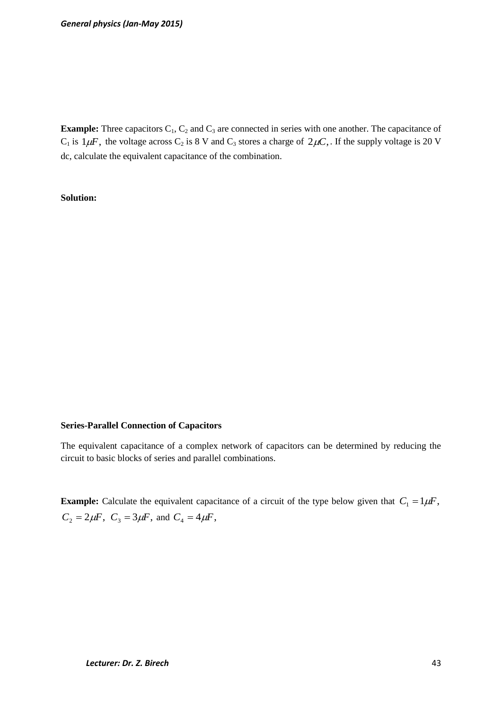**Example:** Three capacitors  $C_1$ ,  $C_2$  and  $C_3$  are connected in series with one another. The capacitance of  $C_1$  is  $1\mu$ F, the voltage across  $C_2$  is 8 V and  $C_3$  stores a charge of  $2\mu$ C,. If the supply voltage is 20 V dc, calculate the equivalent capacitance of the combination.

### **Solution:**

### **Series-Parallel Connection of Capacitors**

The equivalent capacitance of a complex network of capacitors can be determined by reducing the circuit to basic blocks of series and parallel combinations.

**Example:** Calculate the equivalent capacitance of a circuit of the type below given that  $C_1 = 1 \mu F$ ,  $C_2 = 2\mu$ *F*,  $C_3 = 3\mu$ *F*, and  $C_4 = 4\mu$ *F*,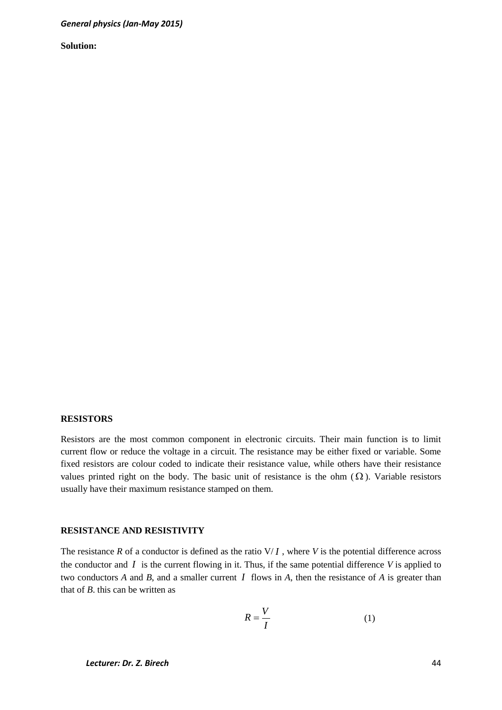**Solution:** 

#### **RESISTORS**

Resistors are the most common component in electronic circuits. Their main function is to limit current flow or reduce the voltage in a circuit. The resistance may be either fixed or variable. Some fixed resistors are colour coded to indicate their resistance value, while others have their resistance values printed right on the body. The basic unit of resistance is the ohm  $(\Omega)$ . Variable resistors usually have their maximum resistance stamped on them.

### **RESISTANCE AND RESISTIVITY**

The resistance  $R$  of a conductor is defined as the ratio  $V/I$ , where  $V$  is the potential difference across the conductor and  $I$  is the current flowing in it. Thus, if the same potential difference  $V$  is applied to two conductors  $A$  and  $B$ , and a smaller current  $I$  flows in  $A$ , then the resistance of  $A$  is greater than that of *B*. this can be written as

$$
R = \frac{V}{I} \tag{1}
$$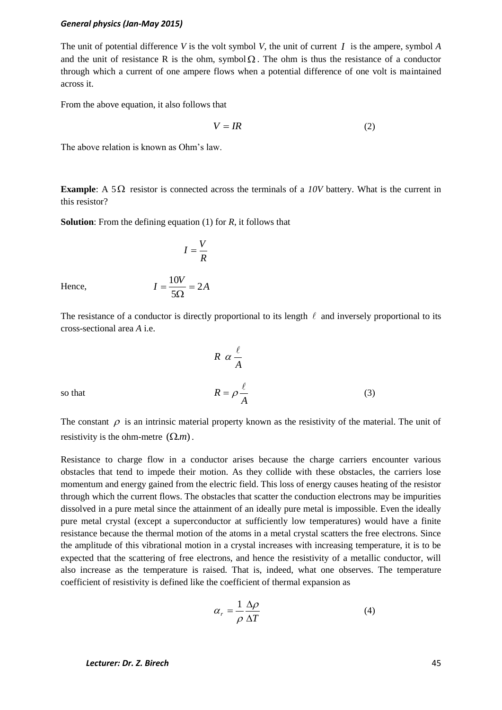The unit of potential difference *V* is the volt symbol *V*, the unit of current *I* is the ampere, symbol *A* and the unit of resistance R is the ohm, symbol  $\Omega$ . The ohm is thus the resistance of a conductor through which a current of one ampere flows when a potential difference of one volt is maintained across it.

From the above equation, it also follows that

$$
V = IR \tag{2}
$$

The above relation is known as Ohm's law.

**Example**: A  $5\Omega$  resistor is connected across the terminals of a *10V* battery. What is the current in this resistor?

**Solution**: From the defining equation (1) for *R*, it follows that

*R*  $I=\frac{V}{I}$ 

 $I = \frac{10V}{10} = 2A$ 5  $\frac{10V}{10}$  =  $\Omega$ 

 $=$ 

Hence,

The resistance of a conductor is directly proportional to its length  $\ell$  and inversely proportional to its cross-sectional area *A* i.e.

*A*  $R \alpha \stackrel{\ell}{\vdots}$ so that *A*  $R = \rho \frac{\ell}{\epsilon}$ (3)

The constant  $\rho$  is an intrinsic material property known as the resistivity of the material. The unit of resistivity is the ohm-metre  $(\Omega.m)$ .

Resistance to charge flow in a conductor arises because the charge carriers encounter various obstacles that tend to impede their motion. As they collide with these obstacles, the carriers lose momentum and energy gained from the electric field. This loss of energy causes heating of the resistor through which the current flows. The obstacles that scatter the conduction electrons may be impurities dissolved in a pure metal since the attainment of an ideally pure metal is impossible. Even the ideally pure metal crystal (except a superconductor at sufficiently low temperatures) would have a finite resistance because the thermal motion of the atoms in a metal crystal scatters the free electrons. Since the amplitude of this vibrational motion in a crystal increases with increasing temperature, it is to be expected that the scattering of free electrons, and hence the resistivity of a metallic conductor, will also increase as the temperature is raised. That is, indeed, what one observes. The temperature coefficient of resistivity is defined like the coefficient of thermal expansion as

$$
\alpha_r = \frac{1}{\rho} \frac{\Delta \rho}{\Delta T} \tag{4}
$$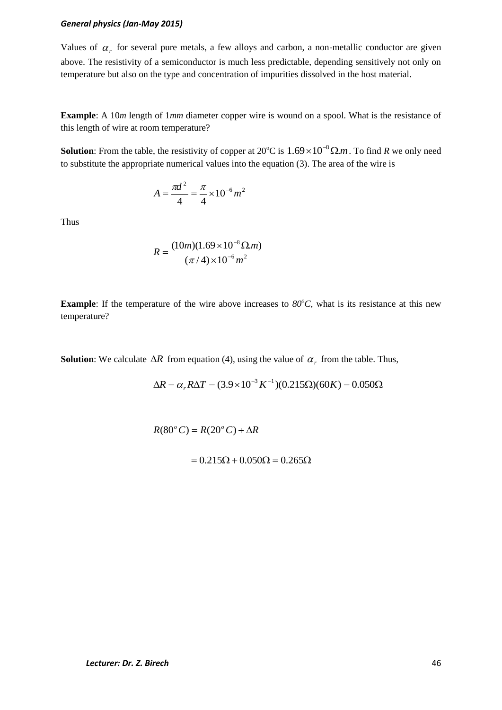Values of  $\alpha_r$  for several pure metals, a few alloys and carbon, a non-metallic conductor are given above. The resistivity of a semiconductor is much less predictable, depending sensitively not only on temperature but also on the type and concentration of impurities dissolved in the host material.

**Example**: A 10*m* length of 1*mm* diameter copper wire is wound on a spool. What is the resistance of this length of wire at room temperature?

**Solution**: From the table, the resistivity of copper at  $20^{\circ}$ C is  $1.69 \times 10^{-8}$   $\Omega$ *m*. To find *R* we only need to substitute the appropriate numerical values into the equation (3). The area of the wire is

$$
A = \frac{\pi d^2}{4} = \frac{\pi}{4} \times 10^{-6} m^2
$$

Thus

$$
R = \frac{(10m)(1.69 \times 10^{-8} \,\Omega.m)}{(\pi/4) \times 10^{-6} \,m^2}
$$

**Example**: If the temperature of the wire above increases to  $80^{\circ}$ C, what is its resistance at this new temperature?

**Solution**: We calculate  $\Delta R$  from equation (4), using the value of  $\alpha_r$  from the table. Thus,

$$
\Delta R = \alpha_r R \Delta T = (3.9 \times 10^{-3} K^{-1})(0.215 \Omega)(60 K) = 0.050 \Omega
$$

 $R(80^{\circ} C) = R(20^{\circ} C) + \Delta R$ 

 $= 0.215\Omega + 0.050\Omega = 0.265\Omega$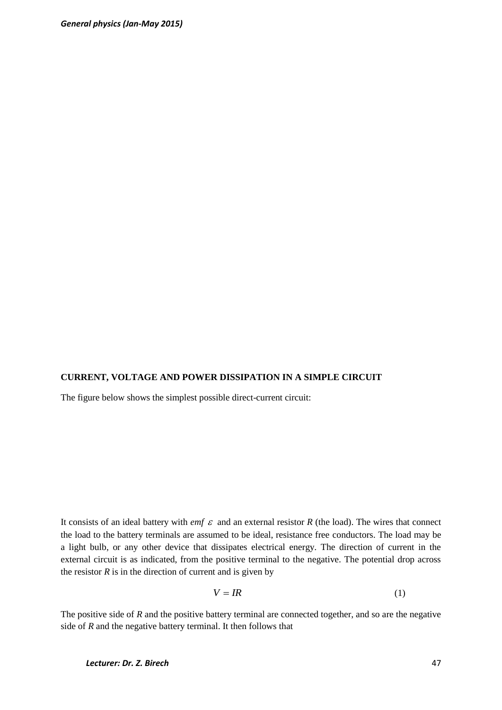### **CURRENT, VOLTAGE AND POWER DISSIPATION IN A SIMPLE CIRCUIT**

The figure below shows the simplest possible direct-current circuit:

It consists of an ideal battery with *emf*  $\varepsilon$  and an external resistor  $R$  (the load). The wires that connect the load to the battery terminals are assumed to be ideal, resistance free conductors. The load may be a light bulb, or any other device that dissipates electrical energy. The direction of current in the external circuit is as indicated, from the positive terminal to the negative. The potential drop across the resistor  $R$  is in the direction of current and is given by

$$
V = IR \tag{1}
$$

The positive side of *R* and the positive battery terminal are connected together, and so are the negative side of *R* and the negative battery terminal. It then follows that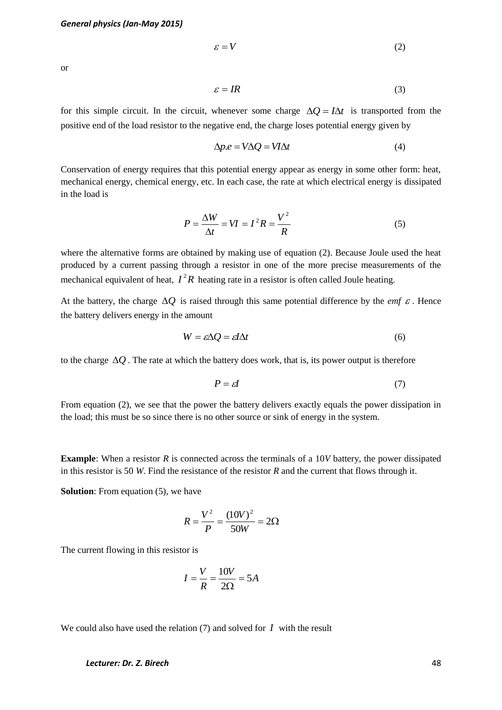$$
\varepsilon = V \tag{2}
$$

or

$$
\varepsilon = IR \tag{3}
$$

for this simple circuit. In the circuit, whenever some charge  $\Delta Q = I \Delta t$  is transported from the positive end of the load resistor to the negative end, the charge loses potential energy given by

$$
\Delta p.e = V \Delta Q = V I \Delta t \tag{4}
$$

Conservation of energy requires that this potential energy appear as energy in some other form: heat, mechanical energy, chemical energy, etc. In each case, the rate at which electrical energy is dissipated in the load is

$$
P = \frac{\Delta W}{\Delta t} = VI = I^2 R = \frac{V^2}{R}
$$
 (5)

where the alternative forms are obtained by making use of equation (2). Because Joule used the heat produced by a current passing through a resistor in one of the more precise measurements of the mechanical equivalent of heat,  $I^2R$  heating rate in a resistor is often called Joule heating.

At the battery, the charge  $\Delta Q$  is raised through this same potential difference by the *emf*  $\varepsilon$ . Hence the battery delivers energy in the amount

$$
W = \varepsilon \Delta Q = \varepsilon I \Delta t \tag{6}
$$

to the charge  $\Delta Q$ . The rate at which the battery does work, that is, its power output is therefore

$$
P = \varepsilon I \tag{7}
$$

From equation (2), we see that the power the battery delivers exactly equals the power dissipation in the load; this must be so since there is no other source or sink of energy in the system.

**Example**: When a resistor *R* is connected across the terminals of a 10*V* battery, the power dissipated in this resistor is 50 *W*. Find the resistance of the resistor *R* and the current that flows through it.

**Solution**: From equation (5), we have

$$
R = \frac{V^2}{P} = \frac{(10V)^2}{50W} = 2\Omega
$$

The current flowing in this resistor is

$$
I = \frac{V}{R} = \frac{10V}{2\Omega} = 5A
$$

We could also have used the relation  $(7)$  and solved for  $I$  with the result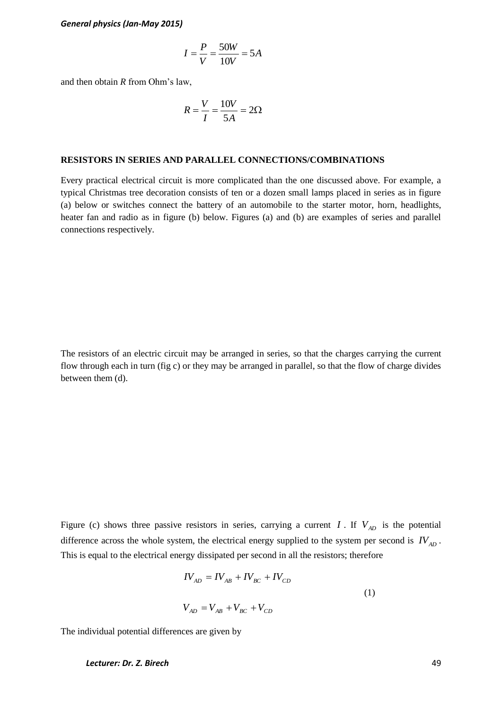$$
I = \frac{P}{V} = \frac{50W}{10V} = 5A
$$

and then obtain *R* from Ohm's law,

$$
R = \frac{V}{I} = \frac{10V}{5A} = 2\Omega
$$

#### **RESISTORS IN SERIES AND PARALLEL CONNECTIONS/COMBINATIONS**

Every practical electrical circuit is more complicated than the one discussed above. For example, a typical Christmas tree decoration consists of ten or a dozen small lamps placed in series as in figure (a) below or switches connect the battery of an automobile to the starter motor, horn, headlights, heater fan and radio as in figure (b) below. Figures (a) and (b) are examples of series and parallel connections respectively.

The resistors of an electric circuit may be arranged in series, so that the charges carrying the current flow through each in turn (fig c) or they may be arranged in parallel, so that the flow of charge divides between them (d).

Figure (c) shows three passive resistors in series, carrying a current  $I$ . If  $V_{AD}$  is the potential difference across the whole system, the electrical energy supplied to the system per second is  $IV_{AD}$ . This is equal to the electrical energy dissipated per second in all the resistors; therefore

$$
IV_{AD} = IV_{AB} + IV_{BC} + IV_{CD}
$$
  

$$
V_{AD} = V_{AB} + V_{BC} + V_{CD}
$$
 (1)

The individual potential differences are given by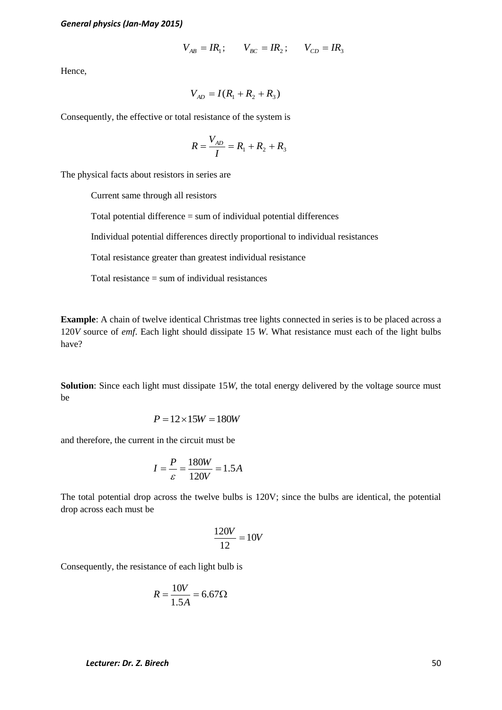$$
V_{AB} = IR_1;
$$
  $V_{BC} = IR_2;$   $V_{CD} = IR_3$ 

Hence,

$$
V_{AD} = I(R_1 + R_2 + R_3)
$$

Consequently, the effective or total resistance of the system is

$$
R = \frac{V_{AD}}{I} = R_1 + R_2 + R_3
$$

The physical facts about resistors in series are

Current same through all resistors

Total potential difference = sum of individual potential differences

Individual potential differences directly proportional to individual resistances

Total resistance greater than greatest individual resistance

Total resistance  $=$  sum of individual resistances

**Example**: A chain of twelve identical Christmas tree lights connected in series is to be placed across a 120*V* source of *emf*. Each light should dissipate 15 *W*. What resistance must each of the light bulbs have?

**Solution**: Since each light must dissipate 15*W*, the total energy delivered by the voltage source must be

$$
P = 12 \times 15W = 180W
$$

and therefore, the current in the circuit must be

$$
I = \frac{P}{\varepsilon} = \frac{180W}{120V} = 1.5A
$$

The total potential drop across the twelve bulbs is 120V; since the bulbs are identical, the potential drop across each must be

$$
\frac{120V}{12} = 10V
$$

Consequently, the resistance of each light bulb is

$$
R = \frac{10V}{1.5A} = 6.67 \Omega
$$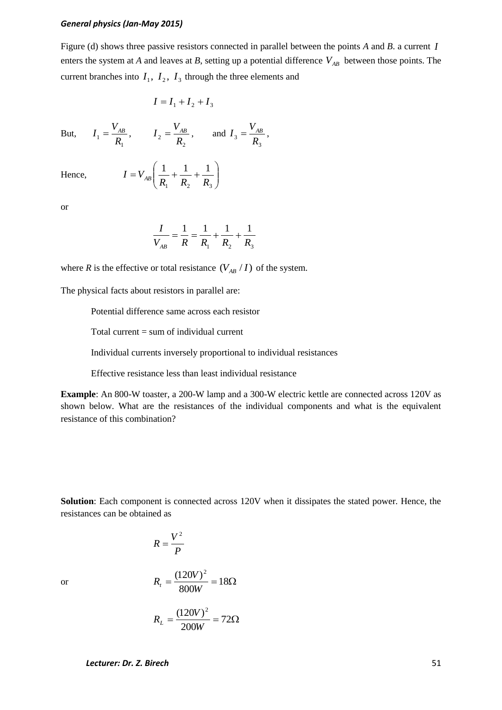1  $1 - R$  $I_1 = \frac{V_{AB}}{R}$ 

Figure (d) shows three passive resistors connected in parallel between the points *A* and *B*. a current *I* enters the system at *A* and leaves at *B*, setting up a potential difference  $V_{AB}$  between those points. The current branches into  $I_1$ ,  $I_2$ ,  $I_3$  through the three elements and

> 3  $3 - R$  $I_3 = \frac{V_{AB}}{R}$

$$
I = I_1 + I_2 + I_3
$$

2  $2 - R$ 

 $1 \quad \mathbf{R}_2 \quad \mathbf{R}_3$ 

 $1 \t1 \t1$ 

 $I_2 = \frac{V_{AB}}{R}$ , and

But,

Hence,

or

$$
\frac{I}{V_{AB}} = \frac{1}{R} = \frac{1}{R_1} + \frac{1}{R_2} + \frac{1}{R_3}
$$

 $\overline{\phantom{a}}$ J

 $\setminus$ 

where *R* is the effective or total resistance  $(V_{AB}/I)$  of the system.

The physical facts about resistors in parallel are:

 $\overline{\phantom{a}}$  $\setminus$ 

 $I = V_{AB} \left( \frac{1}{R_1} + \frac{1}{R_2} + \frac{1}{R_3} \right)$ 

ſ  $=V_{AB}\frac{1}{\cdot}+\frac{1}{\cdot}+\frac{1}{\cdot}$ 

Potential difference same across each resistor

Total current = sum of individual current

Individual currents inversely proportional to individual resistances

Effective resistance less than least individual resistance

**Example**: An 800-W toaster, a 200-W lamp and a 300-W electric kettle are connected across 120V as shown below. What are the resistances of the individual components and what is the equivalent resistance of this combination?

**Solution**: Each component is connected across 120V when it dissipates the stated power. Hence, the resistances can be obtained as

$$
R=\frac{V^2}{P}
$$

or

$$
R_t = \frac{(120V)^2}{800W} = 18\Omega
$$

$$
R_L = \frac{(120V)^2}{200W} = 72\Omega
$$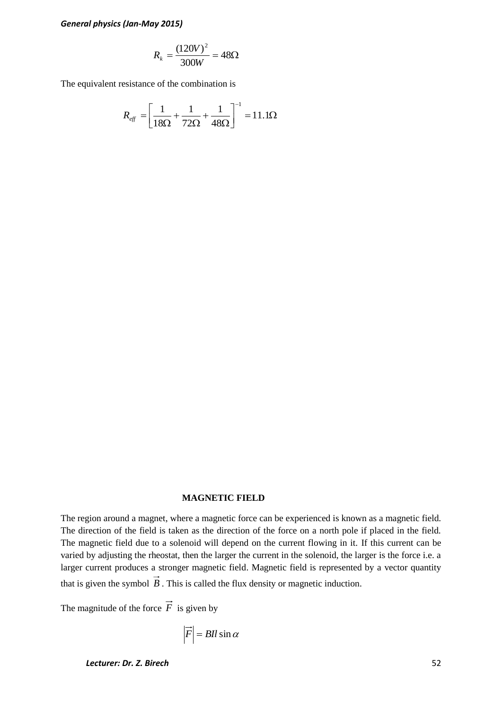$$
R_k = \frac{(120V)^2}{300W} = 48\Omega
$$

The equivalent resistance of the combination is

$$
R_{\text{eff}} = \left[ \frac{1}{18\Omega} + \frac{1}{72\Omega} + \frac{1}{48\Omega} \right]^{-1} = 11.1\Omega
$$

#### **MAGNETIC FIELD**

The region around a magnet, where a magnetic force can be experienced is known as a magnetic field. The direction of the field is taken as the direction of the force on a north pole if placed in the field. The magnetic field due to a solenoid will depend on the current flowing in it. If this current can be varied by adjusting the rheostat, then the larger the current in the solenoid, the larger is the force i.e. a larger current produces a stronger magnetic field. Magnetic field is represented by a vector quantity that is given the symbol  $B$ . This is called the flux density or magnetic induction.

The magnitude of the force  $F$  is given by

$$
\vec{F} = \text{BII} \sin \alpha
$$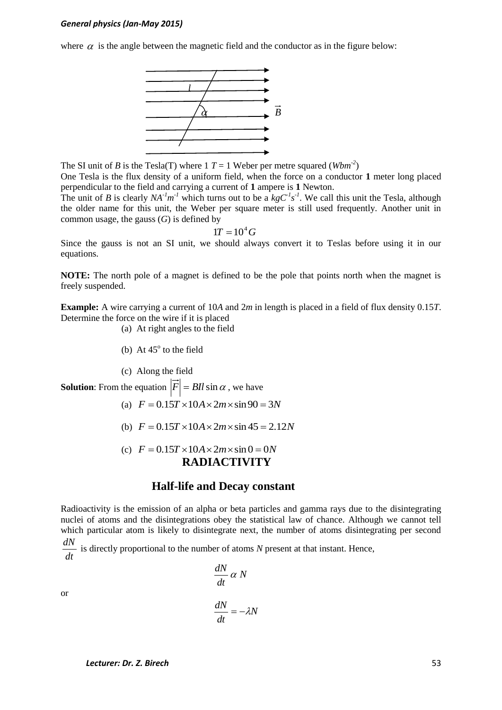where  $\alpha$  is the angle between the magnetic field and the conductor as in the figure below:



The SI unit of *B* is the Tesla(T) where 1  $T = 1$  Weber per metre squared (*Wbm<sup>-2</sup>*)

One Tesla is the flux density of a uniform field, when the force on a conductor **1** meter long placed perpendicular to the field and carrying a current of **1** ampere is **1** Newton.

The unit of *B* is clearly  $NA^{-1}m^{-1}$  which turns out to be a  $kgC^{1}s^{-1}$ . We call this unit the Tesla, although the older name for this unit, the Weber per square meter is still used frequently. Another unit in common usage, the gauss  $(G)$  is defined by

$$
1T=10^4\,G
$$

Since the gauss is not an SI unit, we should always convert it to Teslas before using it in our equations.

**NOTE:** The north pole of a magnet is defined to be the pole that points north when the magnet is freely suspended.

**Example:** A wire carrying a current of 10*A* and 2*m* in length is placed in a field of flux density 0.15*T*. Determine the force on the wire if it is placed

- (a) At right angles to the field
- (b) At  $45^\circ$  to the field
- (c) Along the field

**Solution:** From the equation  $|F| = BII \sin \alpha$ , we have

- (a)  $F = 0.15T \times 10A \times 2m \times \sin 90 = 3N$
- (b)  $F = 0.15T \times 10A \times 2m \times \sin 45 = 2.12N$
- (c)  $F = 0.15T \times 10A \times 2m \times \sin 0 = 0N$ **RADIACTIVITY**

### **Half-life and Decay constant**

Radioactivity is the emission of an alpha or beta particles and gamma rays due to the disintegrating nuclei of atoms and the disintegrations obey the statistical law of chance. Although we cannot tell which particular atom is likely to disintegrate next, the number of atoms disintegrating per second

*dt*  $\frac{dN}{dt}$  is directly proportional to the number of atoms *N* present at that instant. Hence, *dN*

or

$$
\frac{dN}{dt} \alpha N
$$

$$
\frac{dN}{dt} = -\lambda N
$$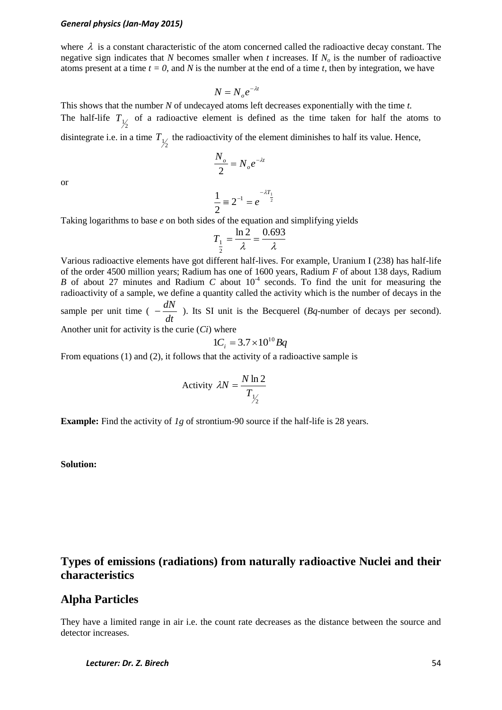where  $\lambda$  is a constant characteristic of the atom concerned called the radioactive decay constant. The negative sign indicates that *N* becomes smaller when *t* increases. If *N<sup>o</sup>* is the number of radioactive atoms present at a time  $t = 0$ , and N is the number at the end of a time t, then by integration, we have

$$
N = N_o e^{-\lambda t}
$$

This shows that the number *N* of undecayed atoms left decreases exponentially with the time *t.* The half-life  $T_{\frac{1}{2}}$  of a radioactive element is defined as the time taken for half the atoms to disintegrate i.e. in a time  $T_{\frac{1}{2}}$  the radioactivity of the element diminishes to half its value. Hence,

$$
\frac{N_o}{2} = N_o e^{-\lambda t}
$$

or

$$
\frac{1}{2} \equiv 2^{-1} = e^{-\lambda T_1}
$$

Taking logarithms to base *e* on both sides of the equation and simplifying yields

$$
T_{\frac{1}{2}} = \frac{\ln 2}{\lambda} = \frac{0.693}{\lambda}
$$

Various radioactive elements have got different half-lives. For example, Uranium I (238) has half-life of the order 4500 million years; Radium has one of 1600 years, Radium *F* of about 138 days, Radium *B* of about 27 minutes and Radium *C* about  $10<sup>4</sup>$  seconds. To find the unit for measuring the radioactivity of a sample, we define a quantity called the activity which is the number of decays in the sample per unit time ( *dt*  $-\frac{dN}{dr}$ ). Its SI unit is the Becquerel (*Bq*-number of decays per second).

Another unit for activity is the curie (*Ci*) where

$$
1C_i = 3.7 \times 10^{10} Bq
$$

From equations (1) and (2), it follows that the activity of a radioactive sample is

Activity 
$$
\lambda N = \frac{N \ln 2}{T_{\frac{1}{2}}}
$$

**Example:** Find the activity of *1g* of strontium-90 source if the half-life is 28 years.

**Solution:** 

# **Types of emissions (radiations) from naturally radioactive Nuclei and their characteristics**

### **Alpha Particles**

They have a limited range in air i.e. the count rate decreases as the distance between the source and detector increases.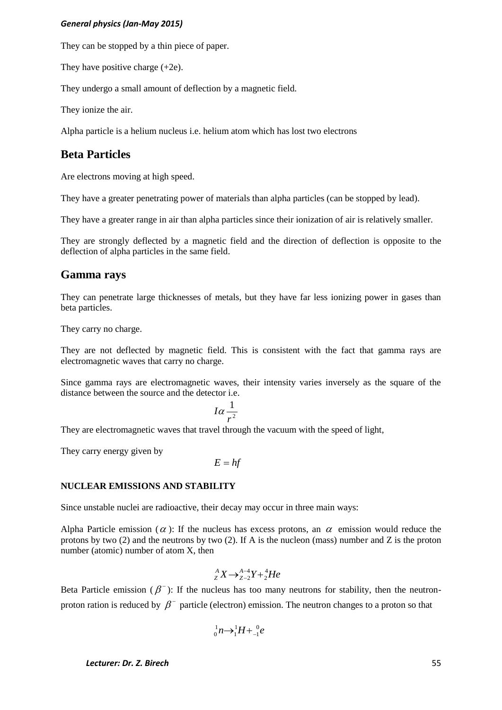They can be stopped by a thin piece of paper.

They have positive charge (+2e).

They undergo a small amount of deflection by a magnetic field.

They ionize the air.

Alpha particle is a helium nucleus i.e. helium atom which has lost two electrons

# **Beta Particles**

Are electrons moving at high speed.

They have a greater penetrating power of materials than alpha particles (can be stopped by lead).

They have a greater range in air than alpha particles since their ionization of air is relatively smaller.

They are strongly deflected by a magnetic field and the direction of deflection is opposite to the deflection of alpha particles in the same field.

## **Gamma rays**

They can penetrate large thicknesses of metals, but they have far less ionizing power in gases than beta particles.

They carry no charge.

They are not deflected by magnetic field. This is consistent with the fact that gamma rays are electromagnetic waves that carry no charge.

Since gamma rays are electromagnetic waves, their intensity varies inversely as the square of the distance between the source and the detector i.e.

$$
I\alpha\frac{1}{r^2}
$$

They are electromagnetic waves that travel through the vacuum with the speed of light,

They carry energy given by

$$
E = hf
$$

### **NUCLEAR EMISSIONS AND STABILITY**

Since unstable nuclei are radioactive, their decay may occur in three main ways:

Alpha Particle emission ( $\alpha$ ): If the nucleus has excess protons, an  $\alpha$  emission would reduce the protons by two (2) and the neutrons by two (2). If A is the nucleon (mass) number and Z is the proton number (atomic) number of atom X, then

$$
{}_{Z}^{A}X\rightarrow_{Z-2}^{A-4}Y+{}_{2}^{4}He
$$

Beta Particle emission ( $\beta$ <sup>-</sup>): If the nucleus has too many neutrons for stability, then the neutronproton ration is reduced by  $\beta^-$  particle (electron) emission. The neutron changes to a proton so that

$$
{}^1_0 n \rightarrow {}^1_1 H + {}^0_{-1} e
$$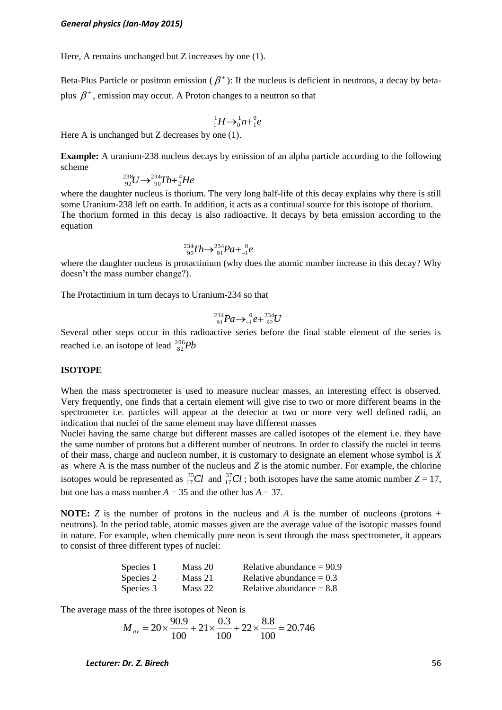Here, A remains unchanged but Z increases by one (1).

Beta-Plus Particle or positron emission ( $\beta^+$ ): If the nucleus is deficient in neutrons, a decay by betaplus  $\beta^*$ , emission may occur. A Proton changes to a neutron so that

$$
{}^1_1H\rightarrow{}^1_0n+{}^0_1e
$$

Here A is unchanged but Z decreases by one (1).

**Example:** A uranium-238 nucleus decays by emission of an alpha particle according to the following scheme

$$
^{238}_{92}U \rightarrow ^{234}_{90}Th + ^{4}_{2}He
$$

where the daughter nucleus is thorium. The very long half-life of this decay explains why there is still some Uranium-238 left on earth. In addition, it acts as a continual source for this isotope of thorium. The thorium formed in this decay is also radioactive. It decays by beta emission according to the equation

$$
^{234}_{90}Th \rightarrow ^{234}_{91}Pa + ^{0}_{-1}e
$$

where the daughter nucleus is protactinium (why does the atomic number increase in this decay? Why doesn't the mass number change?).

The Protactinium in turn decays to Uranium-234 so that

$$
{}^{234}_{91}Pa \rightarrow {}^{0}_{-1}e + {}^{234}_{92}U
$$

Several other steps occur in this radioactive series before the final stable element of the series is reached i.e. an isotope of lead  $\frac{^{206}}{^{82}}Pb$ 

#### **ISOTOPE**

When the mass spectrometer is used to measure nuclear masses, an interesting effect is observed. Very frequently, one finds that a certain element will give rise to two or more different beams in the spectrometer i.e. particles will appear at the detector at two or more very well defined radii, an indication that nuclei of the same element may have different masses

Nuclei having the same charge but different masses are called isotopes of the element i.e. they have the same number of protons but a different number of neutrons. In order to classify the nuclei in terms of their mass, charge and nucleon number, it is customary to designate an element whose symbol is *X* as where A is the mass number of the nucleus and *Z* is the atomic number. For example, the chlorine isotopes would be represented as  ${}^{35}_{17}Cl$  and  ${}^{37}_{17}Cl$ ; both isotopes have the same atomic number  $Z = 17$ , but one has a mass number  $A = 35$  and the other has  $A = 37$ .

**NOTE:** *Z* is the number of protons in the nucleus and *A* is the number of nucleons (protons + neutrons). In the period table, atomic masses given are the average value of the isotopic masses found in nature. For example, when chemically pure neon is sent through the mass spectrometer, it appears to consist of three different types of nuclei:

| Species 1 | Mass 20 | Relative abundance $= 90.9$ |
|-----------|---------|-----------------------------|
| Species 2 | Mass 21 | Relative abundance $= 0.3$  |
| Species 3 | Mass 22 | Relative abundance $= 8.8$  |

The average mass of the three isotopes of Neon is

$$
M_{av} = 20 \times \frac{90.9}{100} + 21 \times \frac{0.3}{100} + 22 \times \frac{8.8}{100} = 20.746
$$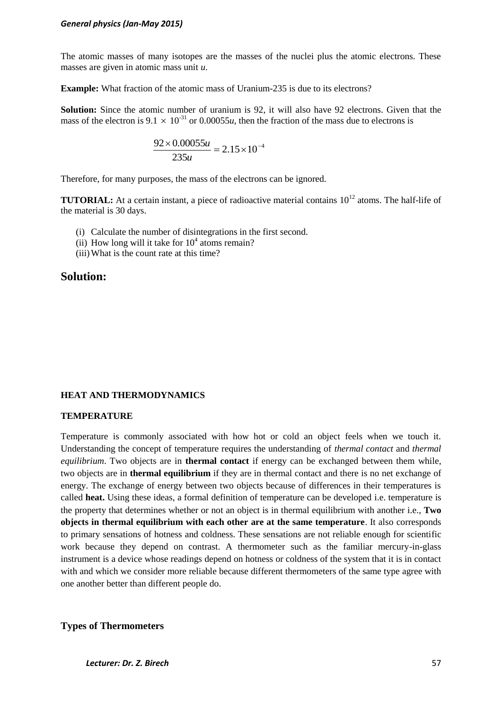The atomic masses of many isotopes are the masses of the nuclei plus the atomic electrons. These masses are given in atomic mass unit *u*.

**Example:** What fraction of the atomic mass of Uranium-235 is due to its electrons?

**Solution:** Since the atomic number of uranium is 92, it will also have 92 electrons. Given that the mass of the electron is  $9.1 \times 10^{-31}$  or 0.00055*u*, then the fraction of the mass due to electrons is

$$
\frac{92 \times 0.00055u}{235u} = 2.15 \times 10^{-4}
$$

Therefore, for many purposes, the mass of the electrons can be ignored.

**TUTORIAL:** At a certain instant, a piece of radioactive material contains  $10^{12}$  atoms. The half-life of the material is 30 days.

- (i) Calculate the number of disintegrations in the first second.
- (ii) How long will it take for  $10^4$  atoms remain?
- (iii)What is the count rate at this time?

# **Solution:**

### **HEAT AND THERMODYNAMICS**

### **TEMPERATURE**

Temperature is commonly associated with how hot or cold an object feels when we touch it. Understanding the concept of temperature requires the understanding of *thermal contact* and *thermal equilibrium*. Two objects are in **thermal contact** if energy can be exchanged between them while, two objects are in **thermal equilibrium** if they are in thermal contact and there is no net exchange of energy. The exchange of energy between two objects because of differences in their temperatures is called **heat.** Using these ideas, a formal definition of temperature can be developed i.e. temperature is the property that determines whether or not an object is in thermal equilibrium with another i.e., **Two objects in thermal equilibrium with each other are at the same temperature**. It also corresponds to primary sensations of hotness and coldness. These sensations are not reliable enough for scientific work because they depend on contrast. A thermometer such as the familiar mercury-in-glass instrument is a device whose readings depend on hotness or coldness of the system that it is in contact with and which we consider more reliable because different thermometers of the same type agree with one another better than different people do.

**Types of Thermometers**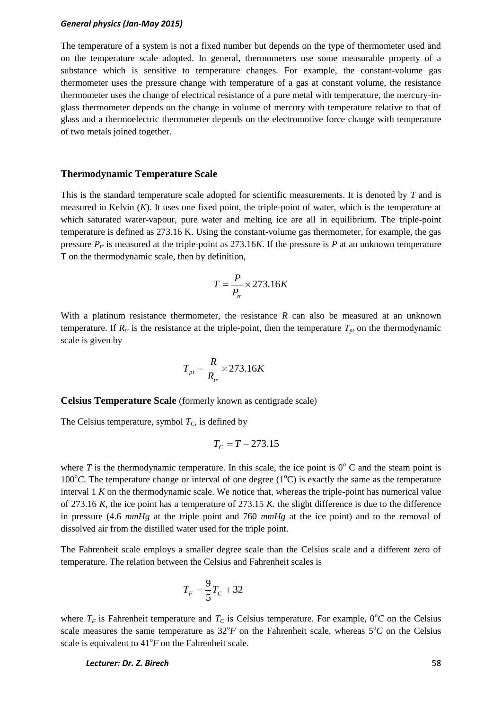The temperature of a system is not a fixed number but depends on the type of thermometer used and on the temperature scale adopted. In general, thermometers use some measurable property of a substance which is sensitive to temperature changes. For example, the constant-volume gas thermometer uses the pressure change with temperature of a gas at constant volume, the resistance thermometer uses the change of electrical resistance of a pure metal with temperature, the mercury-inglass thermometer depends on the change in volume of mercury with temperature relative to that of glass and a thermoelectric thermometer depends on the electromotive force change with temperature of two metals joined together.

### **Thermodynamic Temperature Scale**

This is the standard temperature scale adopted for scientific measurements. It is denoted by *T* and is measured in Kelvin (*K*). It uses one fixed point, the triple-point of water, which is the temperature at which saturated water-vapour, pure water and melting ice are all in equilibrium. The triple-point temperature is defined as 273.16 K. Using the constant-volume gas thermometer, for example, the gas pressure  $P_t$  is measured at the triple-point as 273.16*K*. If the pressure is *P* at an unknown temperature T on the thermodynamic scale, then by definition,

$$
T = \frac{P}{P_{tr}} \times 273.16K
$$

With a platinum resistance thermometer, the resistance *R* can also be measured at an unknown temperature. If  $R_t$  is the resistance at the triple-point, then the temperature  $T_{pt}$  on the thermodynamic scale is given by

$$
T_{pt} = \frac{R}{R_{tr}} \times 273.16K
$$

**Celsius Temperature Scale** (formerly known as centigrade scale)

The Celsius temperature, symbol  $T_c$ , is defined by

$$
T_c = T - 273.15
$$

where *T* is the thermodynamic temperature. In this scale, the ice point is  $0^{\circ}$  C and the steam point is 100 $^{\circ}$ C. The temperature change or interval of one degree (1 $^{\circ}$ C) is exactly the same as the temperature interval 1 *K* on the thermodynamic scale. We notice that, whereas the triple-point has numerical value of 273.16 *K*, the ice point has a temperature of 273.15 *K*. the slight difference is due to the difference in pressure (4.6 *mmHg* at the triple point and 760 *mmHg* at the ice point) and to the removal of dissolved air from the distilled water used for the triple point.

The Fahrenheit scale employs a smaller degree scale than the Celsius scale and a different zero of temperature. The relation between the Celsius and Fahrenheit scales is

$$
T_F = \frac{9}{5}T_C + 32
$$

where  $T_F$  is Fahrenheit temperature and  $T_C$  is Celsius temperature. For example,  $0^{\circ}C$  on the Celsius scale measures the same temperature as  $32^{\circ}F$  on the Fahrenheit scale, whereas  $5^{\circ}C$  on the Celsius scale is equivalent to  $41^{\circ}F$  on the Fahrenheit scale.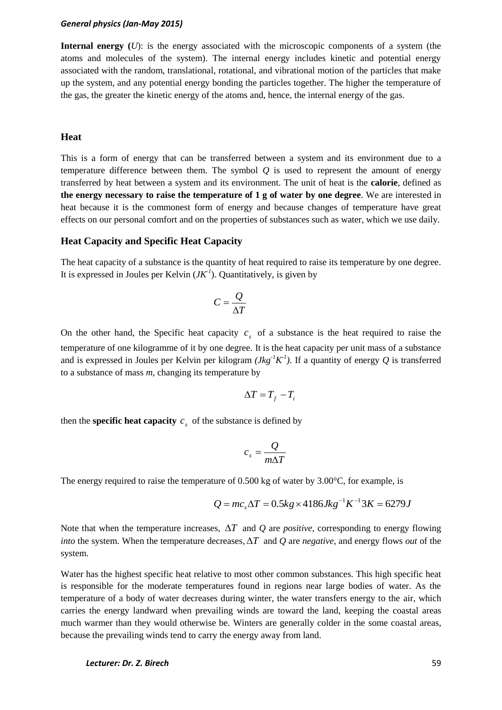**Internal energy (***U*): is the energy associated with the microscopic components of a system (the atoms and molecules of the system). The internal energy includes kinetic and potential energy associated with the random, translational, rotational, and vibrational motion of the particles that make up the system, and any potential energy bonding the particles together. The higher the temperature of the gas, the greater the kinetic energy of the atoms and, hence, the internal energy of the gas.

### **Heat**

This is a form of energy that can be transferred between a system and its environment due to a temperature difference between them. The symbol  $Q$  is used to represent the amount of energy transferred by heat between a system and its environment. The unit of heat is the **calorie**, defined as **the energy necessary to raise the temperature of 1 g of water by one degree**. We are interested in heat because it is the commonest form of energy and because changes of temperature have great effects on our personal comfort and on the properties of substances such as water, which we use daily.

#### **Heat Capacity and Specific Heat Capacity**

The heat capacity of a substance is the quantity of heat required to raise its temperature by one degree. It is expressed in Joules per Kelvin  $(JK^1)$ . Quantitatively, is given by

$$
C = \frac{Q}{\Delta T}
$$

On the other hand, the Specific heat capacity  $c<sub>s</sub>$  of a substance is the heat required to raise the temperature of one kilogramme of it by one degree. It is the heat capacity per unit mass of a substance and is expressed in Joules per Kelvin per kilogram  $(Jkg^{-1}K^{-1})$ . If a quantity of energy Q is transferred to a substance of mass *m*, changing its temperature by

$$
\Delta T = T_f - T_i
$$

then the **specific heat capacity**  $c_s$  of the substance is defined by

$$
c_s = \frac{Q}{m\Delta T}
$$

The energy required to raise the temperature of 0.500 kg of water by 3.00°C, for example, is

$$
Q = mc_s \Delta T = 0.5kg \times 4186Jkg^{-1}K^{-1}3K = 6279J
$$

Note that when the temperature increases,  $\Delta T$  and Q are *positive*, corresponding to energy flowing *into* the system. When the temperature decreases,  $\Delta T$  and Q are *negative*, and energy flows *out* of the system.

Water has the highest specific heat relative to most other common substances. This high specific heat is responsible for the moderate temperatures found in regions near large bodies of water. As the temperature of a body of water decreases during winter, the water transfers energy to the air, which carries the energy landward when prevailing winds are toward the land, keeping the coastal areas much warmer than they would otherwise be. Winters are generally colder in the some coastal areas, because the prevailing winds tend to carry the energy away from land.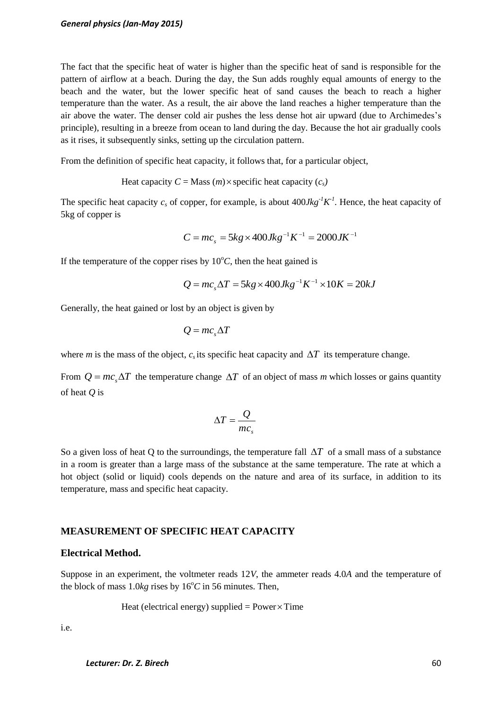The fact that the specific heat of water is higher than the specific heat of sand is responsible for the pattern of airflow at a beach. During the day, the Sun adds roughly equal amounts of energy to the beach and the water, but the lower specific heat of sand causes the beach to reach a higher temperature than the water. As a result, the air above the land reaches a higher temperature than the air above the water. The denser cold air pushes the less dense hot air upward (due to Archimedes's principle), resulting in a breeze from ocean to land during the day. Because the hot air gradually cools as it rises, it subsequently sinks, setting up the circulation pattern.

From the definition of specific heat capacity, it follows that, for a particular object,

Heat capacity  $C = \text{Mass}(m) \times \text{specific heat capacity}(c_s)$ 

The specific heat capacity  $c_s$  of copper, for example, is about  $400Jkg^{-1}K^{-1}$ . Hence, the heat capacity of 5kg of copper is

$$
C = mc_s = 5kg \times 400Jkg^{-1}K^{-1} = 2000JK^{-1}
$$

If the temperature of the copper rises by  $10^{\circ}$ C, then the heat gained is

$$
Q = mc_s \Delta T = 5kg \times 400Jkg^{-1}K^{-1} \times 10K = 20kJ
$$

Generally, the heat gained or lost by an object is given by

$$
Q = mc_s \Delta T
$$

where *m* is the mass of the object,  $c_s$  its specific heat capacity and  $\Delta T$  its temperature change.

From  $Q = mc_s \Delta T$  the temperature change  $\Delta T$  of an object of mass *m* which losses or gains quantity of heat *Q* is

$$
\Delta T = \frac{Q}{mc_s}
$$

So a given loss of heat Q to the surroundings, the temperature fall  $\Delta T$  of a small mass of a substance in a room is greater than a large mass of the substance at the same temperature. The rate at which a hot object (solid or liquid) cools depends on the nature and area of its surface, in addition to its temperature, mass and specific heat capacity.

### **MEASUREMENT OF SPECIFIC HEAT CAPACITY**

### **Electrical Method.**

Suppose in an experiment, the voltmeter reads 12*V*, the ammeter reads 4.0*A* and the temperature of the block of mass  $1.0kg$  rises by  $16^{\circ}C$  in 56 minutes. Then,

Heat (electrical energy) supplied =  $Power \times Time$ 

i.e.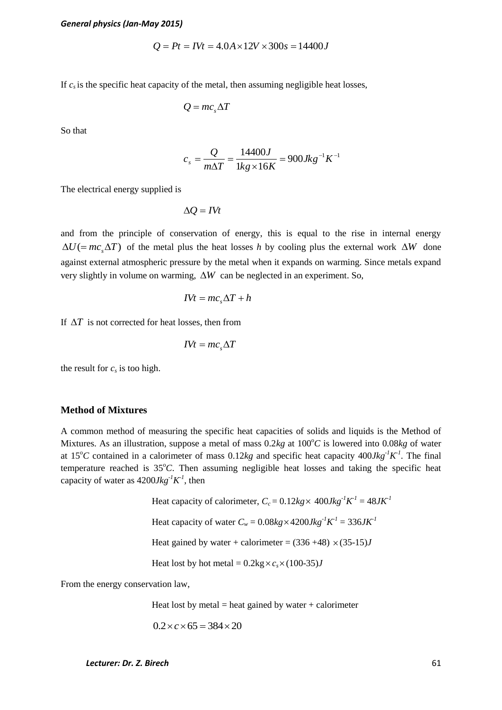$$
Q = Pt = IVt = 4.0A \times 12V \times 300s = 14400J
$$

If  $c<sub>s</sub>$  is the specific heat capacity of the metal, then assuming negligible heat losses,

$$
Q = mc_s \Delta T
$$

So that

$$
c_s = \frac{Q}{m\Delta T} = \frac{14400J}{1kg \times 16K} = 900Jkg^{-1}K^{-1}
$$

The electrical energy supplied is

 $\Delta Q = I V t$ 

and from the principle of conservation of energy, this is equal to the rise in internal energy  $\Delta U$ (=  $mc_s\Delta T$ ) of the metal plus the heat losses *h* by cooling plus the external work  $\Delta W$  done against external atmospheric pressure by the metal when it expands on warming. Since metals expand very slightly in volume on warming,  $\Delta W$  can be neglected in an experiment. So,

$$
IVt = mc_s \Delta T + h
$$

If  $\Delta T$  is not corrected for heat losses, then from

$$
IVt = mc_s \Delta T
$$

the result for  $c_s$  is too high.

#### **Method of Mixtures**

*Let*<br> *Lecturer: Dr. Z. Birecho function of*  $Q = P(r + \Delta t) \Delta t / 2V \times 300$  *<i>k* = 14400*J*<br> *Lettrical energy supplied is<br>*  $Q = mc_1 \Delta T$ *<br>*  $c_s = \frac{Q}{m\Delta T} - \frac{14400 J}{1\log z (16K)} = 900 \Delta k g^{-2} K^{-1}$ *<br>
certical energy supplied is<br>*  $\Delta Q = RV$ *<br>
c* A common method of measuring the specific heat capacities of solids and liquids is the Method of Mixtures. As an illustration, suppose a metal of mass  $0.2kg$  at  $100^{\circ}C$  is lowered into  $0.08kg$  of water at 15<sup>o</sup>C contained in a calorimeter of mass 0.12*kg* and specific heat capacity 400*Jkg<sup>-1</sup>K<sup>-1</sup>*. The final temperature reached is 35°C. Then assuming negligible heat losses and taking the specific heat capacity of water as  $4200Jkg^{-1}K^{-1}$ , then

Heat capacity of calorimeter,  $C_c = 0.12kg \times 400Jkg^{-1}K^{-1} = 48JK^{-1}$ Heat capacity of water  $C_w = 0.08kg \times 4200Jkg^{-1}K^{-1} = 336JK^{-1}$ Heat gained by water + calorimeter =  $(336 +48) \times (35-15)$ *J* Heat lost by hot metal =  $0.2 \text{kg} \times c_s \times (100-35)$ *J* 

From the energy conservation law,

Heat lost by metal  $=$  heat gained by water  $+$  calorimeter

$$
0.2 \times c \times 65 = 384 \times 20
$$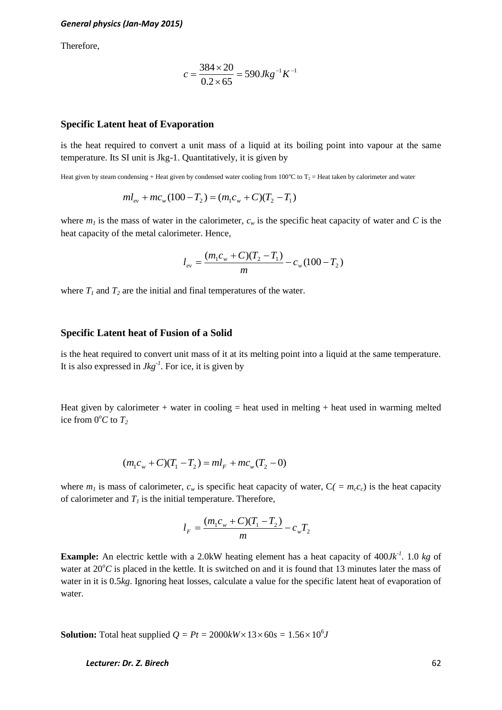Therefore,

$$
c = \frac{384 \times 20}{0.2 \times 65} = 590 \text{ Jkg}^{-1} \text{K}^{-1}
$$

### **Specific Latent heat of Evaporation**

is the heat required to convert a unit mass of a liquid at its boiling point into vapour at the same temperature. Its SI unit is Jkg-1. Quantitatively, it is given by

Heat given by steam condensing + Heat given by condensed water cooling from 100 $^{\circ}$ C to T<sub>2</sub> = Heat taken by calorimeter and water

$$
ml_{ev} + mc_w(100 - T_2) = (m_1c_w + C)(T_2 - T_1)
$$

where  $m_l$  is the mass of water in the calorimeter,  $c_w$  is the specific heat capacity of water and *C* is the heat capacity of the metal calorimeter. Hence,

$$
l_{ev} = \frac{(m_1 c_w + C)(T_2 - T_1)}{m} - c_w (100 - T_2)
$$

where  $T_I$  and  $T_2$  are the initial and final temperatures of the water.

### **Specific Latent heat of Fusion of a Solid**

is the heat required to convert unit mass of it at its melting point into a liquid at the same temperature. It is also expressed in *Jkg-1* . For ice, it is given by

Heat given by calorimeter  $+$  water in cooling  $=$  heat used in melting  $+$  heat used in warming melted ice from  $0^{\circ}C$  to  $T_2$ 

$$
(m_1c_w + C)(T_1 - T_2) = ml_F + mc_w(T_2 - 0)
$$

where  $m_l$  is mass of calorimeter,  $c_w$  is specific heat capacity of water,  $C_f = m_c c_c$ ) is the heat capacity of calorimeter and  $T_I$  is the initial temperature. Therefore,

$$
l_F = \frac{(m_1c_w + C)(T_1 - T_2)}{m} - c_wT_2
$$

**Example:** An electric kettle with a 2.0kW heating element has a heat capacity of 400*Jk<sup>-1</sup>*. 1.0 *kg* of water at  $20^{\circ}$ C is placed in the kettle. It is switched on and it is found that 13 minutes later the mass of water in it is 0.5*kg*. Ignoring heat losses, calculate a value for the specific latent heat of evaporation of water.

**Solution:** Total heat supplied  $Q = Pt = 2000kW \times 13 \times 60s = 1.56 \times 10^6J$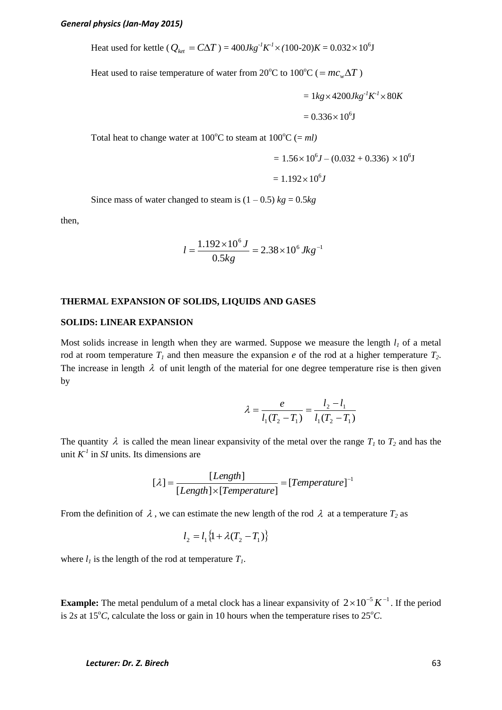Heat used for kettle ( $Q_{ket} = C\Delta T$ ) =  $400Jkg^{-1}K^{-1} \times (100{\text -}20)K = 0.032 \times 10^6 \text{J}$ 

Heat used to raise temperature of water from 20<sup>o</sup>C to 100<sup>o</sup>C (=  $mc_w\Delta T$ )

$$
= 1kg \times 4200Jkg^{-1}K^{-1} \times 80K
$$

$$
= 0.336 \times 10^{6}J
$$

Total heat to change water at  $100^{\circ}$ C to steam at  $100^{\circ}$ C (= *ml*)

$$
= 1.56 \times 10^{6} J - (0.032 + 0.336) \times 10^{6} J
$$

$$
= 1.192 \times 10^6 J
$$

Since mass of water changed to steam is  $(1 - 0.5)$   $kg = 0.5$ *kg* 

then,

$$
l = \frac{1.192 \times 10^6 \text{ J}}{0.5 \text{kg}} = 2.38 \times 10^6 \text{ Jkg}^{-1}
$$

#### **THERMAL EXPANSION OF SOLIDS, LIQUIDS AND GASES**

#### **SOLIDS: LINEAR EXPANSION**

Most solids increase in length when they are warmed. Suppose we measure the length  $l<sub>l</sub>$  of a metal rod at room temperature  $T_I$  and then measure the expansion *e* of the rod at a higher temperature  $T_2$ . The increase in length  $\lambda$  of unit length of the material for one degree temperature rise is then given by

$$
\lambda = \frac{e}{l_1(T_2 - T_1)} = \frac{l_2 - l_1}{l_1(T_2 - T_1)}
$$

The quantity  $\lambda$  is called the mean linear expansivity of the metal over the range  $T_1$  to  $T_2$  and has the unit  $K^1$  in *SI* units. Its dimensions are

$$
[\lambda] = \frac{[Length]}{[Length] \times [Temperature]} = [Temperature]^{-1}
$$

From the definition of  $\lambda$ , we can estimate the new length of the rod  $\lambda$  at a temperature  $T_2$  as

$$
l_2 = l_1 \{1 + \lambda (T_2 - T_1) \}
$$

where  $l_i$  is the length of the rod at temperature  $T_i$ .

**Example:** The metal pendulum of a metal clock has a linear expansivity of  $2 \times 10^{-5} K^{-1}$ . If the period is 2*s* at 15<sup>o</sup>*C*, calculate the loss or gain in 10 hours when the temperature rises to  $25<sup>o</sup>C$ .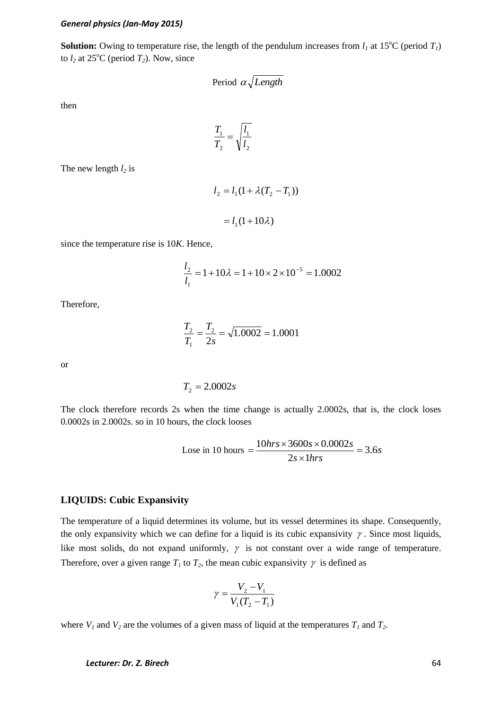**Solution:** Owing to temperature rise, the length of the pendulum increases from  $l_1$  at 15<sup>o</sup>C (period  $T_1$ ) to  $l_2$  at 25<sup>o</sup>C (period  $T_2$ ). Now, since

Period 
$$
\alpha \sqrt{Length}
$$

then

$$
\frac{T_1}{T_2} = \sqrt{\frac{l_1}{l_2}}
$$

The new length *l<sup>2</sup>* is

$$
l_2 = l_1(1 + \lambda(T_2 - T_1))
$$

$$
= l_1(1 + 10\lambda)
$$

since the temperature rise is 10*K*. Hence,

$$
\frac{l_2}{l_1} = 1 + 10\lambda = 1 + 10 \times 2 \times 10^{-5} = 1.0002
$$

Therefore,

$$
\frac{T_2}{T_1} = \frac{T_2}{2s} = \sqrt{1.0002} = 1.0001
$$

or

$$
T_2 = 2.0002s
$$

The clock therefore records 2s when the time change is actually 2.0002s, that is, the clock loses 0.0002s in 2.0002s. so in 10 hours, the clock looses

$$
Lose in 10 hours = \frac{10hrs \times 3600s \times 0.0002s}{2s \times 1hrs} = 3.6s
$$

### **LIQUIDS: Cubic Expansivity**

The temperature of a liquid determines its volume, but its vessel determines its shape. Consequently, the only expansivity which we can define for a liquid is its cubic expansivity  $\gamma$ . Since most liquids, like most solids, do not expand uniformly,  $\gamma$  is not constant over a wide range of temperature. Therefore, over a given range  $T_1$  to  $T_2$ , the mean cubic expansivity  $\gamma$  is defined as

$$
\gamma = \frac{V_2 - V_1}{V_1(T_2 - T_1)}
$$

where  $V_1$  and  $V_2$  are the volumes of a given mass of liquid at the temperatures  $T_1$  and  $T_2$ .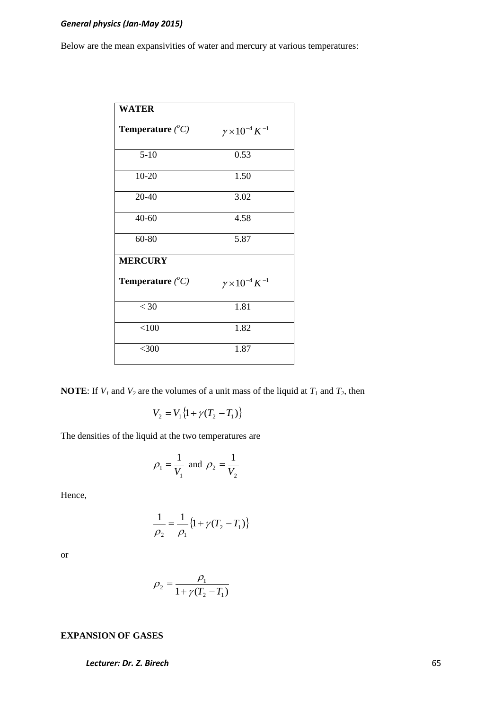Below are the mean expansivities of water and mercury at various temperatures:

| <b>WATER</b>                     |                                |
|----------------------------------|--------------------------------|
| <b>Temperature</b> $(^{\circ}C)$ | $\gamma \times 10^{-4} K^{-1}$ |
| $5 - 10$                         | 0.53                           |
| $10-20$                          | 1.50                           |
| $20 - 40$                        | 3.02                           |
| $40 - 60$                        | 4.58                           |
| 60-80                            | 5.87                           |
| <b>MERCURY</b>                   |                                |
| <b>Temperature</b> $(^{\circ}C)$ | $\gamma \times 10^{-4} K^{-1}$ |
| $<$ 30                           | 1.81                           |
| < 100                            | 1.82                           |
| $<$ 300                          | 1.87                           |

**NOTE:** If  $V_1$  and  $V_2$  are the volumes of a unit mass of the liquid at  $T_1$  and  $T_2$ , then

$$
V_2 = V_1 \{1 + \gamma (T_2 - T_1) \}
$$

The densities of the liquid at the two temperatures are

$$
\rho_1 = \frac{1}{V_1}
$$
 and  $\rho_2 = \frac{1}{V_2}$ 

Hence,

$$
\frac{1}{\rho_2} = \frac{1}{\rho_1} \{ 1 + \gamma (T_2 - T_1) \}
$$

or

$$
\rho_2 = \frac{\rho_1}{1 + \gamma (T_2 - T_1)}
$$

### **EXPANSION OF GASES**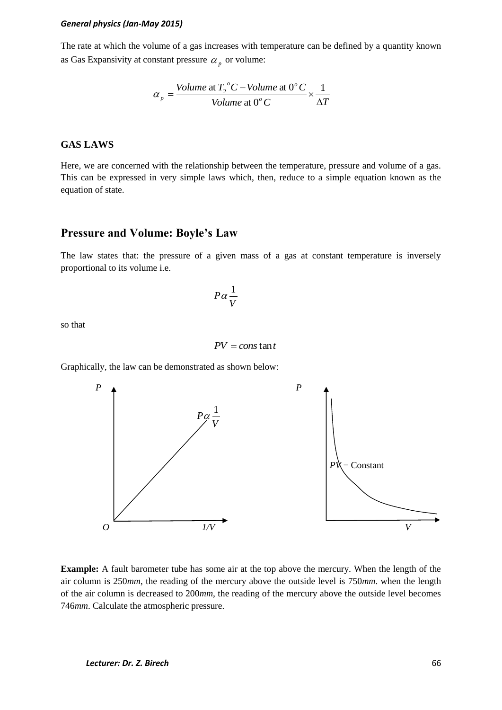The rate at which the volume of a gas increases with temperature can be defined by a quantity known as Gas Expansivity at constant pressure  $\alpha_p$  or volume:

$$
\alpha_p = \frac{Volume \text{ at } T_2^{\circ}C - Volume \text{ at } 0^{\circ}C}{Volume \text{ at } 0^{\circ}C} \times \frac{1}{\Delta T}
$$

### **GAS LAWS**

Here, we are concerned with the relationship between the temperature, pressure and volume of a gas. This can be expressed in very simple laws which, then, reduce to a simple equation known as the equation of state.

# **Pressure and Volume: Boyle's Law**

The law states that: the pressure of a given mass of a gas at constant temperature is inversely proportional to its volume i.e.

$$
P\alpha\frac{1}{V}
$$

so that

$$
PV = const
$$
tan t

Graphically, the law can be demonstrated as shown below:



**Example:** A fault barometer tube has some air at the top above the mercury. When the length of the air column is 250*mm*, the reading of the mercury above the outside level is 750*mm*. when the length of the air column is decreased to 200*mm*, the reading of the mercury above the outside level becomes 746*mm*. Calculate the atmospheric pressure.